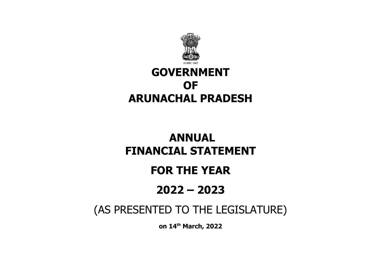

## **GOVERNMENT OF ARUNACHAL PRADESH**

# **ANNUAL FINANCIAL STATEMENT**

## **FOR THE YEAR**

# **2022 – 2023**

## (AS PRESENTED TO THE LEGISLATURE)

**on 14th March, 2022**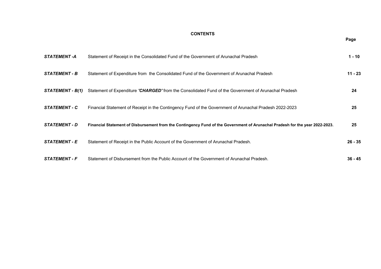## **CONTENTS**

| <b>STATEMENT-A</b>   | Statement of Receipt in the Consolidated Fund of the Government of Arunachal Pradesh                                         | $1 - 10$  |
|----------------------|------------------------------------------------------------------------------------------------------------------------------|-----------|
| <b>STATEMENT - B</b> | Statement of Expenditure from the Consolidated Fund of the Government of Arunachal Pradesh                                   | $11 - 23$ |
| STATEMENT - B(1)     | Statement of Expenditure 'CHARGED' from the Consolidated Fund of the Government of Arunachal Pradesh                         | 24        |
| <b>STATEMENT - C</b> | Financial Statement of Receipt in the Contingency Fund of the Government of Arunachal Pradesh 2022-2023                      | 25        |
| <b>STATEMENT - D</b> | Financial Statement of Disbursement from the Contingency Fund of the Government of Arunachal Pradesh for the year 2022-2023. | 25        |
| <b>STATEMENT - E</b> | Statement of Receipt in the Public Account of the Government of Arunachal Pradesh.                                           | $26 - 35$ |
| <b>STATEMENT - F</b> | Statement of Disbursement from the Public Account of the Government of Arunachal Pradesh.                                    | $36 - 45$ |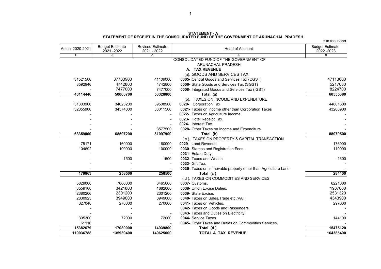**STATEMENT - A STATEMENT OF RECEIPT IN THE CONSOLIDATED FUND OF THE GOVERNMENT OF ARUNACHAL PRADESH**

 $\zeta$  in thousand

|           | 2021-2022 | 2021 - 2022 | <b>Head of Account</b>                                         | <b>Budget Estimate</b><br>2022 - 2023 |
|-----------|-----------|-------------|----------------------------------------------------------------|---------------------------------------|
| 1.        |           | 3           |                                                                | 5                                     |
|           |           |             | CONSOLIDATED FUND OF THE GOVERNMENT OF                         |                                       |
|           |           |             | ARUNACHAL PRADESH                                              |                                       |
|           |           |             | A. TAX REVENUE                                                 |                                       |
|           |           |             | (a). GOODS AND SERVICES TAX                                    |                                       |
| 31521500  | 37783900  | 41109000    | 0005- Central Goods and Services Tax (CGST)                    | 47113600                              |
| 8592946   | 4742800   | 4742800     | 0006- State Goods and Services Tax (SGST)                      | 5217080                               |
|           | 7477000   | 7477000     | 0008- Integrated Goods and Services Tax (IGST)                 | 8224700                               |
| 40114446  | 50003700  | 53328800    | Total (a)                                                      | 60555380                              |
|           |           |             | (b). TAXES ON INCOME AND EXPENDITURE                           |                                       |
| 31303900  | 34023200  | 39508900    | 0020- Corporation Tax                                          | 44801600                              |
| 32055900  | 34574000  | 38011500    | 0021- Taxes on income other than Corporation Taxes             | 43268900                              |
|           |           |             | 0022- Taxes on Agriculture Income                              |                                       |
|           |           |             | 0023- Hotel Receipt Tax.                                       |                                       |
|           |           |             | 0024- Interest Tax.                                            |                                       |
|           |           | 3577500     | 0028- Other Taxes on Income and Expenditure.                   |                                       |
| 63359800  | 68597200  | 81097900    | Total (b)                                                      | 88070500                              |
|           |           |             | (c). TAXES ON PROPERTY & CAPITAL TRANSACTION                   |                                       |
| 75171     | 160000    | 160000      | 0029- Land Revenue.                                            | 176000                                |
| 104692    | 100000    | 100000      | 0030- Stamps and Registration Fees.                            | 110000                                |
|           |           |             | 0031- Estate Duty.                                             |                                       |
|           | $-1500$   | $-1500$     | 0032- Taxes and Wealth.                                        | $-1600$                               |
|           |           |             | 0033- Gift Tax.                                                |                                       |
|           |           |             | 0035- Taxes on immovable property other than Agriculture Land. |                                       |
| 179863    | 258500    | 258500      | Total (c)                                                      | 284400                                |
|           |           |             | (d). TAXES ON COMMODITIES AND SERVICES.                        |                                       |
| 5829000   | 7066000   | 6465600     | 0037- Customs.                                                 | 6221000                               |
| 3559100   | 3421800   | 1882000     | 0038- Union Excise Duties.                                     | 1937800                               |
| 2380206   | 2301200   | 2301200     | 0039- State Excise.                                            | 2531320                               |
| 2830923   | 3949000   | 3949000     | 0040- Taxes on Sales, Trade etc./VAT                           | 4343900                               |
| 327040    | 270000    | 270000      | 0041- Taxes on Vehicles.                                       | 297000                                |
|           |           |             | 0042- Taxes on Goods and Passengers.                           |                                       |
|           |           |             | 0043- Taxes and Duties on Electricity.                         |                                       |
| 395300    | 72000     | 72000       | 0044- Service Taxes                                            | 144100                                |
| 61110     |           |             | 0045- Other Taxes and Duties on Commodities Services.          |                                       |
| 15382679  | 17080000  | 14939800    | Total (d)                                                      | 15475120                              |
| 119036788 | 135939400 | 149625000   | <b>TOTAL A. TAX REVENUE</b>                                    | 164385400                             |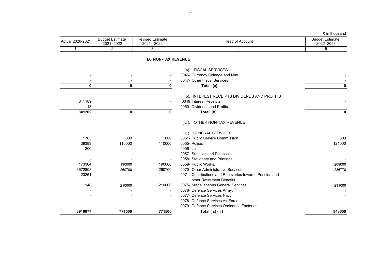| Actual 2020-2021 Actual | <b>Budget Estimate</b><br>$-2022$<br>2021 | <b>Revised Estimate</b><br>2022<br>2021 | Head of<br>∵of Account | <b>Budget Estimate</b><br>2022 - 2023 |
|-------------------------|-------------------------------------------|-----------------------------------------|------------------------|---------------------------------------|
| . .                     |                                           |                                         |                        |                                       |

 $\bar{\tau}$  in thousand

## **B. NON-TAX REVENUE**

|         |        |                          | (a). FISCAL SERVICES                                                                 |        |
|---------|--------|--------------------------|--------------------------------------------------------------------------------------|--------|
|         |        |                          | 0046- Currency, Coinage and Mint.                                                    |        |
|         |        |                          | 0047- Other Fiscal Services.                                                         |        |
| 0       | 0      | 0                        | Total (a)                                                                            |        |
|         |        |                          | (b). INTEREST RECEIPTS DIVIDENDS AND PROFITS                                         |        |
| 341189  |        |                          | 0049 Interest Receipts.                                                              |        |
| 13      |        |                          | 0050- Dividends and Profits.                                                         |        |
| 341202  | 0      | 0                        | Total (b)                                                                            |        |
|         |        |                          | (c) OTHER NON-TAX REVENUE                                                            |        |
|         |        |                          | (i) GENERAL SERVICES                                                                 |        |
| 1783    | 800    | 800                      | 0051- Public Service Commission.                                                     | 880    |
| 39383   | 110000 | 110000                   | 0055- Police.                                                                        | 121000 |
| 200     |        |                          | 0056- Jail.                                                                          |        |
|         |        | $\overline{\phantom{a}}$ | 0057- Supplies and Disposals.                                                        |        |
|         |        |                          | 0058- Stationary and Printings.                                                      |        |
| 173304  | 190000 | 190000                   | 0059- Public Works.                                                                  | 209000 |
| 3672898 | 260700 | 260700                   | 0070- Other Administrative Services.                                                 | 286770 |
| 23261   |        |                          | 0071- Contributions and Recoveries towards Pension and<br>other Retirement Benefits. |        |
| 148     | 210000 | 210000                   | 0075- Miscellaneous General Services.                                                | 231000 |
|         |        | $\overline{\phantom{a}}$ | 0076- Defence Services Army.                                                         |        |
|         |        |                          | 0077- Defence Services Navy.                                                         |        |
|         |        |                          | 0078- Defence Services Air Force.                                                    |        |
|         |        |                          | 0079- Defence Services Ordinance Factories.                                          |        |
| 3910977 | 771500 | 771500                   | Total $(c)$ $(i)$                                                                    | 848650 |
|         |        |                          |                                                                                      |        |

2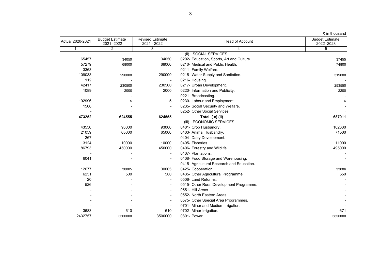| Actual 2020-2021 | <b>Budget Estimate</b><br>2021-2022 | <b>Revised Estimate</b><br>2021 - 2022 | <b>Head of Account</b>                     | <b>Budget Estimate</b><br>2022 - 2023 |
|------------------|-------------------------------------|----------------------------------------|--------------------------------------------|---------------------------------------|
| 1.               | $\overline{2}$                      | 3                                      | 4                                          | 5                                     |
|                  |                                     |                                        | (ii). SOCIAL SERVICES                      |                                       |
| 65457            | 34050                               | 34050                                  | 0202- Education, Sports, Art and Culture.  | 37455                                 |
| 57279            | 68000                               | 68000                                  | 0210- Medical and Public Health.           | 74800                                 |
| 3363             |                                     |                                        | 0211- Family Welfare.                      |                                       |
| 109033           | 290000                              | 290000                                 | 0215- Water Supply and Sanitation.         | 319000                                |
| 112              |                                     | $\overline{\phantom{a}}$               | 0216- Housing.                             |                                       |
| 42417            | 230500                              | 230500                                 | 0217- Urban Development.                   | 253550                                |
| 1089             | 2000                                | 2000                                   | 0220- Information and Publicity.           | 2200                                  |
|                  |                                     |                                        | 0221- Broadcasting.                        |                                       |
| 192996           | 5                                   | 5                                      | 0230- Labour and Employment.               | 6                                     |
| 1506             |                                     |                                        | 0235- Social Security and Welfare.         |                                       |
|                  |                                     |                                        | 0252- Other Social Services.               |                                       |
| 473252           | 624555                              | 624555                                 | Total (c) (ii)                             | 687011                                |
|                  |                                     |                                        | (iii). ECONOMIC SERVICES                   |                                       |
| 43550            | 93000                               | 93000                                  | 0401- Crop Husbandry.                      | 102300                                |
| 21059            | 65000                               | 65000                                  | 0403- Animal Husbandry.                    | 71500                                 |
| 267              |                                     |                                        | 0404- Dairy Development.                   |                                       |
| 3124             | 10000                               | 10000                                  | 0405- Fisheries.                           | 11000                                 |
| 86793            | 450000                              | 450000                                 | 0406- Forestry and Wildlife.               | 495000                                |
|                  |                                     |                                        | 0407- Plantations.                         |                                       |
| 6041             |                                     | $\blacksquare$                         | 0408- Food Storage and Warehousing.        |                                       |
|                  |                                     |                                        | 0415- Agricultural Research and Education. |                                       |
| 12677            | 30005                               | 30005                                  | 0425- Cooperation.                         | 33006                                 |
| 6251             | 500                                 | 500                                    | 0435- Other Agricultural Programme.        | 550                                   |
| 20               |                                     |                                        | 0506- Land Reforms.                        |                                       |
| 526              |                                     |                                        | 0515- Other Rural Development Programme.   |                                       |
|                  |                                     | $\blacksquare$                         | 0551- Hill Areas.                          |                                       |
|                  |                                     |                                        | 0552- North Eastern Areas.                 |                                       |
|                  |                                     |                                        | 0575- Other Special Area Programmes.       |                                       |
|                  |                                     |                                        | 0701- Minor and Medium Irrigation.         |                                       |
| 3683             | 610                                 | 610                                    | 0702- Minor Irrigation.                    | 671                                   |
| 2432757          | 3500000                             | 3500000                                | 0801- Power.                               | 3850000                               |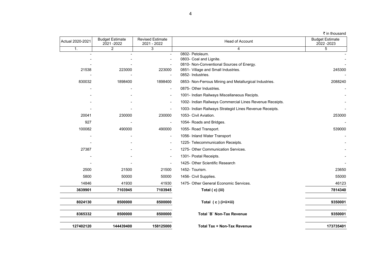| Actual 2020-2021 | <b>Budget Estimate</b><br>2021-2022 | <b>Revised Estimate</b><br>2021 - 2022 | <b>Head of Account</b>                                               | <b>Budget Estimate</b><br>2022 - 2023 |
|------------------|-------------------------------------|----------------------------------------|----------------------------------------------------------------------|---------------------------------------|
| $\mathbf{1}$ .   | $\overline{2}$                      | 3                                      | $\overline{4}$                                                       | 5                                     |
|                  |                                     |                                        | 0802- Petoleum.                                                      |                                       |
|                  |                                     |                                        | 0803- Coal and Lignite.<br>0810- Non-Conventional Sources of Energy. |                                       |
| 21538            | 223000                              | 223000                                 | 0851- Village and Small Industries.                                  | 245300                                |
|                  |                                     |                                        | 0852- Industries.                                                    |                                       |
| 830032           | 1898400                             | 1898400                                | 0853- Non-Ferrous Mining and Metallurgical Industries.               | 2088240                               |
|                  |                                     | $\blacksquare$                         | 0875- Other Industries.                                              |                                       |
|                  |                                     | $\overline{\phantom{a}}$               | 1001- Indian Railways Miscellaneous Recipts.                         |                                       |
|                  |                                     | $\blacksquare$                         | 1002- Indian Railways Commercial Lines Revenue Receipts.             |                                       |
|                  |                                     | $\blacksquare$                         | 1003- Indian Railways Strategid Lines Revenue Receipts.              |                                       |
| 20041            | 230000                              | 230000                                 | 1053- Civil Aviation.                                                | 253000                                |
| 927              |                                     | $\blacksquare$                         | 1054- Roads and Bridges.                                             |                                       |
| 100082           | 490000                              | 490000                                 | 1055- Road Transport.                                                | 539000                                |
|                  |                                     | $\overline{\phantom{a}}$               | 1056- Inland Water Transport                                         |                                       |
|                  |                                     | $\blacksquare$                         | 1225- Telecommunication Receipts.                                    |                                       |
| 27387            |                                     | $\blacksquare$                         | 1275- Other Communication Services.                                  |                                       |
|                  |                                     | $\blacksquare$                         | 1301- Postal Receipts.                                               |                                       |
|                  |                                     |                                        | 1425- Other Scientific Research                                      |                                       |
| 2500             | 21500                               | 21500                                  | 1452- Tourism.                                                       | 23650                                 |
| 5800             | 50000                               | 50000                                  | 1456- Civil Supplies.                                                | 55000                                 |
| 14846            | 41930                               | 41930                                  | 1475- Other General Economic Services.                               | 46123                                 |
| 3639901          | 7103945                             | 7103945                                | Total (c) (iii)                                                      | 7814340                               |
| 8024130          | 8500000                             | 8500000                                | Total (c) (i+ii+iii)                                                 | 9350001                               |
| 8365332          | 8500000                             | 8500000                                | Total `B` Non-Tax Revenue                                            | 9350001                               |
| 127402120        | 144439400                           | 158125000                              | <b>Total Tax + Non-Tax Revenue</b>                                   | 173735401                             |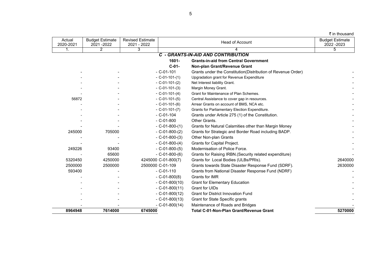|  | ₹ in thousand |
|--|---------------|
|--|---------------|

| Actual<br>2020-2021 | <b>Budget Estimate</b><br>2021-2022 | <b>Revised Estimate</b><br>2021 - 2022 |                        | <b>Head of Account</b>                                       |                |  |
|---------------------|-------------------------------------|----------------------------------------|------------------------|--------------------------------------------------------------|----------------|--|
| 1.                  | $\overline{2}$                      | 3                                      |                        |                                                              | $\overline{5}$ |  |
|                     |                                     |                                        |                        | <b>C - GRANTS-IN-AID AND CONTRIBUTION</b>                    |                |  |
|                     |                                     |                                        | 1601-                  | <b>Grants-in-aid from Central Government</b>                 |                |  |
|                     |                                     |                                        | $C-01-$                | Non-plan Grant/Revenue Grant                                 |                |  |
|                     |                                     |                                        | $- C - 01 - 101$       | Grants under the Constitution(Distribution of Revenue Order) |                |  |
|                     |                                     |                                        | $- C - 01 - 101 - (1)$ | Upgradation grant for Revenue Expenditure                    |                |  |
|                     |                                     |                                        | $-C-01-101-(2)$        | Net Interest liability Grant.                                |                |  |
|                     |                                     |                                        | $-$ C-01-101-(3)       | Margin Money Grant.                                          |                |  |
|                     |                                     |                                        | $-C-01-101-(4)$        | Grant for Maintenance of Plan Schemes.                       |                |  |
| 56872               |                                     |                                        | $-C-01-101-(5)$        | Central Assistance to cover gap in resources.                |                |  |
|                     |                                     |                                        | $-C-01-101-(6)$        | Arrear Grants on account of BMS, NCA etc.                    |                |  |
|                     |                                     |                                        | $-$ C-01-101-(7)       | Grants for Parliamentary Election Expenditure.               |                |  |
|                     |                                     |                                        | $-C-01-104$            | Grants under Article 275 (1) of the Constitution.            |                |  |
|                     |                                     |                                        | $-C-01-800$            | Other Grants.                                                |                |  |
|                     |                                     |                                        | $-$ C-01-800-(1)       | Grants for Natural Calamities other than Margin Money        |                |  |
| 245000              | 705000                              |                                        | $-C-01-800-(2)$        | Grants for Strategic and Border Road including BADP.         |                |  |
|                     |                                     |                                        | $-C-01-800-(3)$        | Other Non-plan Grants                                        |                |  |
|                     |                                     |                                        | $-C-01-800-(4)$        | <b>Grants for Capital Project.</b>                           |                |  |
| 249226              | 93400                               |                                        | $-C-01-800-(5)$        | Modernisation of Police Force.                               |                |  |
|                     | 65600                               |                                        | $- C - 01 - 800 - (6)$ | Grants for Raising IRBN. (Security related expenditure)      |                |  |
| 5320450             | 4250000                             |                                        | 4245000 C-01-800(7)    | Grants for Local Bodies (ULBs/PRIs).                         | 2640000        |  |
| 2500000             | 2500000                             |                                        | 2500000 C-01-109       | Grants towards State Disaster Response Fund (SDRF).          | 2630000        |  |
| 593400              |                                     |                                        | $-C - 01 - 110$        | Grants from National Disaster Response Fund (NDRF)           |                |  |
|                     |                                     |                                        | $-C-01-800(8)$         | Grants for IMR                                               |                |  |
|                     |                                     |                                        | $-$ C-01-800(10)       | <b>Grant for Elementary Education</b>                        |                |  |
|                     |                                     |                                        | $- C - 01 - 800(11)$   | Grant for UIDs                                               |                |  |
|                     |                                     |                                        | $-C-01-800(12)$        | <b>Grant for District Innovation Fund</b>                    |                |  |
|                     |                                     |                                        | $- C - 01 - 800(13)$   | Grant for State Specific grants                              |                |  |
|                     |                                     |                                        | $- C - 01 - 800(14)$   | Maintenance of Roads and Bridges                             |                |  |
| 8964948             | 7614000                             | 6745000                                |                        | <b>Total C-01-Non-Plan Grant/Revenue Grant</b>               | 5270000        |  |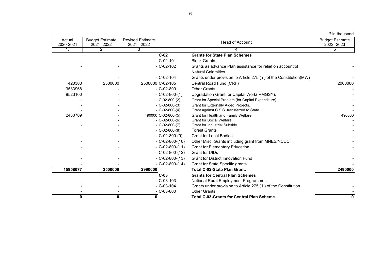| ₹ in thousand |  |  |  |
|---------------|--|--|--|
|---------------|--|--|--|

| Actual<br>2020-2021 | <b>Budget Estimate</b><br>2021-2022 | <b>Revised Estimate</b><br>2021 - 2022 |                     | <b>Head of Account</b>                                             | <b>Budget Estimate</b><br>2022 - 2023 |
|---------------------|-------------------------------------|----------------------------------------|---------------------|--------------------------------------------------------------------|---------------------------------------|
| 1.                  | 2                                   | 3                                      |                     |                                                                    | 5                                     |
|                     |                                     |                                        | $C-02$              | <b>Grants for State Plan Schemes</b>                               |                                       |
|                     |                                     |                                        | $-C-02-101$         | <b>Block Grants.</b>                                               |                                       |
|                     |                                     |                                        | $-C-02-102$         | Grants as advance Plan assistance for relief on account of         |                                       |
|                     |                                     |                                        |                     | Natural Calamities.                                                |                                       |
|                     |                                     |                                        | $-C-02-104$         | Grants under provision to Article 275 (i) of the Constitution (MW) |                                       |
| 420300              | 2500000                             |                                        | 2500000 C-02-105    | Central Road Fund (CRF)                                            | 2000000                               |
| 3533968             |                                     |                                        | $-C-02-800$         | Other Grants.                                                      |                                       |
| 9523100             |                                     |                                        | $-C-02-800-(1)$     | Upgradation Grant for Capital Work(PMGSY).                         |                                       |
|                     |                                     |                                        | $-C-02-800-(2)$     | Grant for Special Problem (for Capital Expenditure).               |                                       |
|                     |                                     |                                        | $-C-02-800-(3)$     | Grant for Externally Aided Projects.                               |                                       |
|                     |                                     |                                        | $-C-02-800-(4)$     | Grant against C.S.S. transferred to State.                         |                                       |
| 2480709             |                                     |                                        | 490000 C-02-800-(5) | Grant for Health and Family Welfare                                | 490000                                |
|                     |                                     |                                        | $-C-02-800-(6)$     | <b>Grant for Social Welfare</b>                                    |                                       |
|                     |                                     |                                        | $-C-02-800-(7)$     | Grant for Industrial Subsidy.                                      |                                       |
|                     |                                     |                                        | $-C-02-800-(8)$     | <b>Forest Grants</b>                                               |                                       |
|                     |                                     |                                        | $-C-02-800-(9)$     | <b>Grant for Local Bodies.</b>                                     |                                       |
|                     |                                     |                                        | $-C-02-800-(10)$    | Other Misc. Grants including grant from MNES/NCDC.                 |                                       |
|                     |                                     |                                        | $-C-02-800-(11)$    | <b>Grant for Elementary Education</b>                              |                                       |
|                     |                                     |                                        | $-C-02-800-(12)$    | Grant for UIDs                                                     |                                       |
|                     |                                     |                                        | $-C-02-800-(13)$    | <b>Grant for District Innovation Fund</b>                          |                                       |
|                     |                                     |                                        | $-C-02-800-(14)$    | Grant for State Specific grants                                    |                                       |
| 15958077            | 2500000                             | 2990000                                |                     | <b>Total C-02-State Plan Grant.</b>                                | 2490000                               |
|                     |                                     |                                        | $C-03$              | <b>Grants for Central Plan Schemes</b>                             |                                       |
|                     |                                     |                                        | $-C-03-103$         | National Rural Employment Programmer.                              |                                       |
|                     |                                     |                                        | $-C-03-104$         | Grants under provision to Article 275 (1) of the Constitution.     |                                       |
|                     |                                     |                                        | $-C-03-800$         | Other Grants.                                                      |                                       |
| 0                   | $\mathbf{0}$                        | 0                                      |                     | <b>Total C-03-Grants for Central Plan Scheme.</b>                  | O                                     |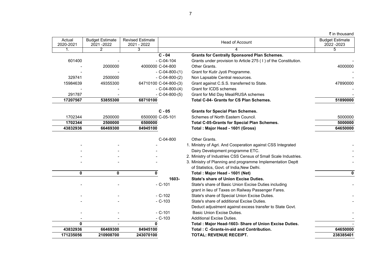|  | ₹ in thousand |  |
|--|---------------|--|
|  |               |  |
|  |               |  |
|  |               |  |

| Actual       | <b>Budget Estimate</b> | <b>Revised Estimate</b> |                       | <b>Head of Account</b>                                          | <b>Budget Estimate</b> |
|--------------|------------------------|-------------------------|-----------------------|-----------------------------------------------------------------|------------------------|
| 2020-2021    | 2021 - 2022            | 2021 - 2022             |                       |                                                                 | 2022 - 2023            |
| 1.           | $\overline{2}$         | $\overline{\mathbf{3}}$ |                       |                                                                 | 5                      |
|              |                        |                         | $\overline{C - 04}$   | <b>Grants for Centrally Sponsored Plan Schemes.</b>             |                        |
| 601400       |                        |                         | $- C - 04 - 104$      | Grants under provision to Article 275 (1) of the Constitution.  |                        |
|              | 2000000                |                         | 4000000 C-04-800      | Other Grants.                                                   | 4000000                |
|              |                        |                         | $-C-04-800-(1)$       | Grant for Kutir Jyoti Programme.                                |                        |
| 329741       | 2500000                |                         | $-C-04-800-(2)$       | Non Lapsable Central resources.                                 |                        |
| 15984639     | 49355300               |                         | 64710100 C-04-800-(3) | Grant against C.S.S. transferred to State.                      | 47890000               |
|              |                        |                         | $-C-04-800-(4)$       | Grant for ICDS schemes                                          |                        |
| 291787       |                        |                         | $-C-04-800-(5)$       | Grant for Mid Day Meal/RUSA schemes                             |                        |
| 17207567     | 53855300               | 68710100                |                       | <b>Total C-04- Grants for CS Plan Schemes.</b>                  | 51890000               |
|              |                        |                         | $C - 05$              | <b>Grants for Special Plan Schemes.</b>                         |                        |
| 1702344      | 2500000                |                         | 6500000 C-05-101      | Schemes of North Eastern Council.                               | 5000000                |
| 1702344      | 2500000                | 6500000                 |                       | <b>Total C-05-Grants for Special Plan Schemes.</b>              | 5000000                |
| 43832936     | 66469300               | 84945100                |                       | Total: Major Head - 1601 (Gross)                                | 64650000               |
|              |                        |                         | C-04-800              | Other Grants.                                                   |                        |
|              |                        |                         |                       | 1. Ministry of Agri. And Cooperation against CSS Integrated     |                        |
|              |                        |                         |                       | Dairy Development programme ETC.                                |                        |
|              |                        |                         |                       | 2. Ministry of Industries CSS Census of Small Scale Industries. |                        |
|              |                        |                         |                       | 3. Ministry of Planning and programme Implementation Deptt      |                        |
|              |                        |                         |                       | of Statistics, Govt. of India, New Delhi.                       |                        |
| 0            | $\mathbf 0$            | 0                       |                       | Total: Major Head - 1601 (Net)                                  | $\mathbf 0$            |
|              |                        |                         | 1603-                 | <b>State's share of Union Excise Duties.</b>                    |                        |
|              |                        |                         | $- C - 101$           | State's share of Basic Union Excise Duties including            |                        |
|              |                        |                         |                       | grant in lieu of Taxes on Railway Passenger Fares.              |                        |
|              |                        |                         | $-C-102$              | State's share of Special Union Excise Duties.                   |                        |
|              |                        |                         | $- C - 103$           | State's share of additional Excise Duties.                      |                        |
|              |                        |                         |                       | Deduct adjustment against excess transfer to State Govt.        |                        |
|              |                        |                         | $- C - 101$           | <b>Basic Union Excise Duties.</b>                               |                        |
|              |                        |                         | $- C - 103$           | <b>Additional Excise Duties.</b>                                |                        |
| $\mathbf{0}$ |                        | 0                       |                       | Total : Major Head-1603- Share of Union Excise Duties.          |                        |
| 43832936     | 66469300               | 84945100                |                       | Total: C -Grants-in-aid and Contribution.                       | 64650000               |
| 171235056    | 210908700              | 243070100               |                       | <b>TOTAL: REVENUE RECEIPT.</b>                                  | 238385401              |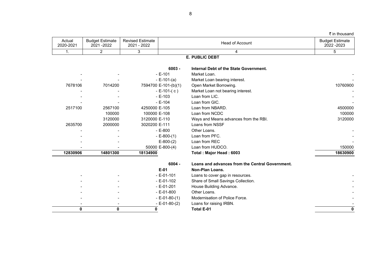|  |  | ₹ in thousand |
|--|--|---------------|
|--|--|---------------|

| Actual<br>2020-2021 | Estimate<br><b>Budget F</b><br>$-2022$<br>2021 | <b>Revised Estimate</b><br>2022<br>2021 | I of Account_<br>Head | <b>Budget Estimate</b><br>2022 - 2023 |
|---------------------|------------------------------------------------|-----------------------------------------|-----------------------|---------------------------------------|
| . .                 |                                                |                                         |                       |                                       |

## **E. PUBLIC DEBT**

|          |                          | $6003 -$              | Internal Debt of the State Government.          |          |
|----------|--------------------------|-----------------------|-------------------------------------------------|----------|
|          |                          | $-E-101$              | Market Loan.                                    |          |
|          |                          | $-E-101-(a)$          | Market Loan bearing interest.                   |          |
| 7678106  | 7014200                  | 7594700 E-101-(b)(1)  | Open Market Borrowing.                          | 10760900 |
|          |                          | $- E-101-(c)$         | Market Loan not bearing interest.               |          |
|          |                          | $-E-103$              | Loan from LIC.                                  |          |
|          |                          | $-E-104$              | Loan from GIC.                                  |          |
| 2517100  | 2567100                  | 4250000 E-105         | Loan from NBARD.                                | 4500000  |
|          | 100000                   | 100000 E-108          | Loan from NCDC                                  | 100000   |
|          | 3120000                  | 3120000 E-110         | Ways and Means advances from the RBI.           | 3120000  |
| 2635700  | 2000000                  | 3020200 E-111         | Loans from NSSF                                 |          |
|          |                          | $-E-800$              | Other Loans.                                    |          |
|          |                          | $-E-800-(1)$          | Loan from PFC.                                  |          |
|          |                          | $E-800-(2)$           | Loan from REC                                   |          |
|          |                          | 50000 E-800-(4)       | Loan from HUDCO.                                | 150000   |
| 12830906 | 14801300                 | 18134900              | Total: Major Head: 6003                         | 18630900 |
|          |                          | $6004 -$              | Loans and advances from the Central Government. |          |
|          |                          | $E-01$                | Non-Plan Loans.                                 |          |
|          |                          | $-E-01-101$           | Loans to cover gap in resources.                |          |
|          |                          | $-E-01-102$           | Share of Small Savings Collection.              |          |
|          |                          | $- E - 01 - 201$      | House Building Advance.                         |          |
|          |                          | $-E-01-800$           | Other Loans.                                    |          |
|          |                          | $-E-01-80-(1)$        | Modernisation of Police Force.                  |          |
|          | $\overline{\phantom{a}}$ | $- E - 01 - 80 - (2)$ | Loans for raising IRBN.                         |          |
| 0        | 0                        | 0                     | Total E-01                                      |          |
|          |                          |                       |                                                 |          |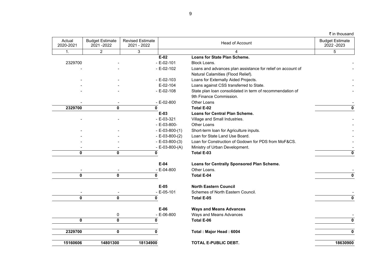|  |  | ₹ in thousand |
|--|--|---------------|
|--|--|---------------|

| Actual<br>2020-2021 | <b>Budget Estimate</b><br>2021-2022 | <b>Revised Estimate</b><br>2021 - 2022 |                        | Head of Account                                             | <b>Budget Estimate</b><br>2022 - 2023 |
|---------------------|-------------------------------------|----------------------------------------|------------------------|-------------------------------------------------------------|---------------------------------------|
| $\mathbf{1}$ .      | $\overline{2}$                      | 3                                      |                        | 4                                                           | 5                                     |
|                     |                                     |                                        | $E-02$                 | <b>Loans for State Plan Scheme.</b>                         |                                       |
| 2329700             |                                     |                                        | $- E - 02 - 101$       | Block Loans.                                                |                                       |
|                     |                                     |                                        | $-E-02-102$            | Loans and advances plan assistance for relief on account of |                                       |
|                     |                                     |                                        |                        | Natural Calamities (Flood Relief).                          |                                       |
|                     |                                     |                                        | $- E - 02 - 103$       | Loans for Externally Aided Projects.                        |                                       |
|                     |                                     |                                        | $E-02-104$             | Loans against CSS transferred to State.                     |                                       |
|                     |                                     |                                        | $-E-02-108$            | State plan loan consolidated in term of recommendation of   |                                       |
|                     |                                     |                                        |                        | 9th Finance Commission.                                     |                                       |
|                     |                                     |                                        | $- E-02-800$           | Other Loans                                                 |                                       |
| 2329700             | $\pmb{0}$                           | $\mathbf 0$                            |                        | <b>Total E-02</b>                                           |                                       |
|                     |                                     |                                        | $E-03$                 | <b>Loans for Central Plan Scheme.</b>                       |                                       |
|                     |                                     |                                        | $-E-03-321$            | Village and Small Industries.                               |                                       |
|                     |                                     |                                        | $- E - 03 - 800 -$     | Other Loans                                                 |                                       |
|                     |                                     |                                        | $- E - 03 - 800 - (1)$ | Short-term loan for Agriculture inputs.                     |                                       |
|                     |                                     |                                        | $- E - 03 - 800 - (2)$ | Loan for State Land Use Board.                              |                                       |
|                     |                                     |                                        | $- E - 03 - 800 - (3)$ | Loan for Construction of Godown for PDS from MoF&CS.        |                                       |
|                     |                                     |                                        | $- E - 03 - 800 - (A)$ | Ministry of Urban Development.                              |                                       |
| 0                   | $\pmb{0}$                           | $\mathbf 0$                            |                        | Total E-03                                                  | $\mathbf 0$                           |
|                     |                                     |                                        | $E-04$                 | Loans for Centrally Sponsored Plan Scheme.                  |                                       |
|                     |                                     |                                        | $- E - 04 - 800$       | Other Loans.                                                |                                       |
| 0                   | $\mathbf{0}$                        | $\mathbf 0$                            |                        | <b>Total E-04</b>                                           |                                       |
|                     |                                     |                                        | $E-05$                 | <b>North Eastern Council</b>                                |                                       |
|                     |                                     |                                        | $-E-05-101$            | Schemes of North Eastern Council.                           |                                       |
| 0                   | $\pmb{0}$                           | $\mathbf 0$                            |                        | Total E-05                                                  |                                       |
|                     |                                     |                                        | $E-06$                 | <b>Ways and Means Advances</b>                              |                                       |
|                     | 0                                   |                                        | $- E - 06 - 800$       | Ways and Means Advances                                     |                                       |
| $\mathbf{0}$        | $\pmb{0}$                           | $\mathbf{0}$                           |                        | Total E-06                                                  |                                       |
| 2329700             | $\pmb{0}$                           | 0                                      |                        | Total: Major Head: 6004                                     |                                       |
| 15160606            | 14801300                            | 18134900                               |                        | TOTAL E-PUBLIC DEBT.                                        | 18630900                              |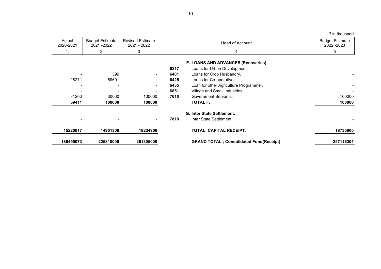| Actual<br>2020-2021 | <b>Budget Estimate</b><br>2021-2022 | <b>Revised Estimate</b><br>2021 - 2022 | <b>Head of Account</b> |                                                                           | <b>Budget Estimate</b><br>2022 - 2023 |
|---------------------|-------------------------------------|----------------------------------------|------------------------|---------------------------------------------------------------------------|---------------------------------------|
|                     | 2                                   | 3                                      |                        | 4                                                                         | 5                                     |
|                     |                                     |                                        | 6217                   | <b>F. LOANS AND ADVANCES (Recoveries)</b><br>Loans for Urban Development. |                                       |
|                     | 399                                 |                                        | 6401                   | Loans for Crop Husbandry.                                                 |                                       |
| 28211               | 69601                               |                                        | 6425                   | Loans for Co-operative.                                                   |                                       |
|                     |                                     |                                        | 6435                   | Loan for other Agriculture Programmer.                                    |                                       |
|                     |                                     |                                        | 6851                   | Village and Small Industries.                                             |                                       |
| 31200               | 30000                               | 100000                                 | 7610                   | Government Servants.                                                      | 100000                                |
| 59411               | 100000                              | 100000                                 |                        | TOTAL F.                                                                  | 100000                                |
|                     |                                     |                                        |                        | G. Inter State Settlement.                                                |                                       |
|                     |                                     |                                        | 7810                   | Inter State Settlement.                                                   |                                       |
| 15220017            | 14901300                            | 18234900                               |                        | TOTAL: CAPITAL RECEIPT.                                                   | 18730900                              |
| 186455073           | 225810000                           | 261305000                              |                        | <b>GRAND TOTAL</b> ; Consolidated Fund(Receipt)                           | 257116301                             |

10

## ₹ in thousand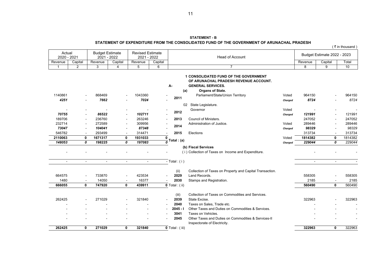#### **STATEMENT OF EXPENDITURE FROM THE CONSOLIDATED FUND OF THE GOVERNMENT OF ARUNACHAL PRADESH**

|  | ( ₹ in thousand) |  |
|--|------------------|--|
|  |                  |  |

| Actual<br>2020 - 2021 |         | <b>Budget Estimate</b><br>- 2022<br>2021 |         | <b>Revised Estimate</b><br>$-2022$<br>2021 |         | Head of Account | Budget Estimate 2022 - 2023 |         |      |
|-----------------------|---------|------------------------------------------|---------|--------------------------------------------|---------|-----------------|-----------------------------|---------|------|
| Revenue               | Capital | Revenue                                  | Capital | Revenue                                    | Capital |                 | Revenue                     | Capital | Tota |
|                       |         |                                          |         |                                            |         |                 |                             |         | 10   |

|                |                          |                |                          |         |                                      | <b>1 CONSOLIDATED FUND OF THE GOVERNMENT</b>                      |         |                |                |         |
|----------------|--------------------------|----------------|--------------------------|---------|--------------------------------------|-------------------------------------------------------------------|---------|----------------|----------------|---------|
|                |                          |                |                          |         | A-                                   | OF ARUNACHAL PRADESH REVENUE ACCOUNT.<br><b>GENERAL SERVICES.</b> |         |                |                |         |
|                |                          |                |                          |         | (a)                                  | <b>Organs of State.</b>                                           |         |                |                |         |
| 1140861        |                          | 868469         |                          | 1043360 |                                      | Parliament/State/Union Territory                                  | Voted   | 964150         |                | 964150  |
| 4251           |                          | 7662           |                          | 7024    | 2011                                 |                                                                   | Charged | 8724           |                | 8724    |
|                |                          |                |                          |         |                                      | 02 State Legislature.                                             |         |                |                |         |
|                |                          |                |                          |         | $\overline{\phantom{a}}$             | Governor                                                          | Voted   |                |                |         |
| 70755          | $\overline{\phantom{a}}$ | 86522          |                          | 102711  | 2012                                 |                                                                   | Charged | 121991         |                | 121991  |
| 189706         | $\blacksquare$           | 236760         |                          | 263246  | 2013                                 | Council of Ministers.                                             |         | 247052         |                | 247052  |
| 232714         | $\blacksquare$           | 272589         |                          | 309956  |                                      | Administration of Justice.                                        | Voted   | 289446         |                | 289446  |
| 73047          | $\overline{a}$           | 104041         |                          | 87348   | 2014                                 |                                                                   | Charged | 98329          |                | 98329   |
| 546782         | $\blacksquare$           | 293499         | $\overline{\phantom{a}}$ | 314471  | 2015<br>$\overline{\phantom{a}}$     | Elections                                                         |         | 313734         |                | 313734  |
| 2110063        | 0                        | 1671317        | 0                        | 1931033 | $\mathbf 0$                          |                                                                   | Voted   | 1814382        | 0              | 1814382 |
| 148053         | 0                        | 198225         | 0                        | 197083  | Total : (a)                          |                                                                   | Charged | 229044         | 0              | 229044  |
|                |                          |                |                          |         |                                      | (b) Fiscal Services                                               |         |                |                |         |
|                |                          |                |                          |         |                                      | (i) Collection of Taxes on Income and Expenditure.                |         |                |                |         |
|                | $\overline{a}$           |                |                          | $\sim$  |                                      |                                                                   |         |                |                |         |
| $\overline{a}$ |                          | $\blacksquare$ | $\blacksquare$           |         | - Total: $(i)$                       |                                                                   |         | $\blacksquare$ | $\blacksquare$ |         |
|                |                          |                |                          |         | (ii)                                 | Collection of Taxes on Property and Capital Transaction.          |         |                |                |         |
| 664575         | $\blacksquare$           | 733870         | $\overline{\phantom{a}}$ | 423534  | 2029                                 | Land Records.                                                     |         | 558305         |                | 558305  |
| 1480           | $\overline{\phantom{a}}$ | 14050          | $\overline{\phantom{a}}$ | 16377   | 2030                                 | Stamps and Registration.                                          |         | 2185           |                | 2185    |
| 666055         | 0                        | 747920         | 0                        | 439911  | $\overline{\mathbf{0}}$ Total : (ii) |                                                                   |         | 560490         | 0              | 560490  |
|                |                          |                |                          |         | (iii)                                | Collection of Taxes on Commodities and Services.                  |         |                |                |         |
| 262425         |                          | 271029         |                          | 321840  | 2039<br>$\overline{\phantom{a}}$     | State Excise.                                                     |         | 322963         |                | 322963  |
|                |                          |                |                          |         | 2040<br>$\overline{\phantom{a}}$     | Taxes on Sales, Trade etc.                                        |         |                |                |         |
|                |                          |                |                          |         | $2045 - 1$<br>$\blacksquare$         | Other Taxes and Duties on Commodities & Services.                 |         |                |                |         |
|                |                          |                |                          |         | 3041                                 | Taxes on Vehicles.                                                |         |                |                |         |
|                |                          |                |                          |         | 2045<br>$\blacksquare$               | Other Taxes and Duties on Commodities & Services-II               |         |                |                |         |
|                |                          |                |                          |         |                                      | Inspectorate of Electricity.                                      |         |                |                |         |
| 262425         | 0                        | 271029         | 0                        | 321840  | $0$ Total : (iii)                    |                                                                   |         | 322963         | 0              | 322963  |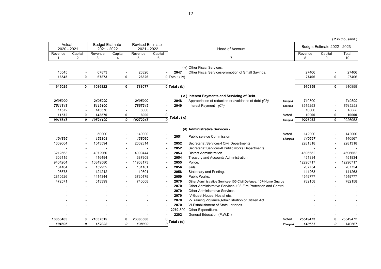|                       |                          |                                       |                          |                                        |                          |                           |                                                                  |         |                |                             | (₹in thousand) |
|-----------------------|--------------------------|---------------------------------------|--------------------------|----------------------------------------|--------------------------|---------------------------|------------------------------------------------------------------|---------|----------------|-----------------------------|----------------|
| Actual<br>2020 - 2021 |                          | <b>Budget Estimate</b><br>2021 - 2022 |                          | <b>Revised Estimate</b><br>2021 - 2022 |                          |                           | <b>Head of Account</b>                                           |         |                | Budget Estimate 2022 - 2023 |                |
| Revenue               | Capital                  | Revenue                               | Capital                  | Revenue                                | Capital                  |                           |                                                                  |         | Revenue        | Capital                     | Total          |
| 1                     | $\overline{2}$           | $\overline{3}$                        | $\Delta$                 | 5                                      | 6                        |                           | $\overline{7}$                                                   |         | $\overline{8}$ | $\overline{9}$              | 10             |
|                       |                          |                                       |                          |                                        |                          |                           |                                                                  |         |                |                             |                |
|                       |                          |                                       |                          |                                        |                          |                           | (iv) Other Fiscal Services.                                      |         |                |                             |                |
| 16545                 | $\sim$                   | 67873                                 |                          | 26326                                  |                          | 2047                      | Other Fiscal Services-promotion of Small Savings.                |         | 27406          | $\mathbf{0}$                | 27406          |
| 16545                 | 0                        | 67873                                 | 0                        | 26326                                  |                          | $0$ Total : (iv)          |                                                                  |         | 27406          |                             | 27406          |
| 945025                | 0                        | 1086822                               | 0                        | 788077                                 |                          | $0$ Total : (b)           |                                                                  |         | 910859         | $\mathbf 0$                 | 910859         |
|                       |                          |                                       |                          |                                        |                          |                           |                                                                  |         |                |                             |                |
|                       |                          |                                       |                          |                                        |                          |                           | (c) Interest Payments and Servicing of Debt.                     |         |                |                             |                |
| 2405000               | $\overline{a}$           | 2405000                               | $\blacksquare$           | 2405000                                | ÷,                       | 2048                      | Appropriation of reduction or avoidance of debt (Ch)             | Charged | 710800         | ÷                           | 710800         |
| 7511848               |                          | 8119100                               |                          | 7867245                                |                          | 2049                      | Interest Payment (Ch)                                            | Charged | 8515253        |                             | 8515253        |
| 11572                 | $\sim$                   | 143570                                | $\blacksquare$           | 6000                                   |                          |                           |                                                                  |         | 10000          |                             | 10000          |
| 11572                 | $\mathbf 0$              | 143570                                | 0                        | 6000                                   | 0                        | Total : $(c)$             |                                                                  | Voted   | 10000          | $\mathbf 0$                 | 10000          |
| 9916848               | 0                        | 10524100                              | 0                        | 10272245                               |                          |                           |                                                                  | Charged | 9226053        | 0                           | 9226053        |
|                       |                          |                                       |                          |                                        |                          |                           | (d) Administrative Services -                                    |         |                |                             |                |
|                       | $\blacksquare$           | 50000                                 | $\blacksquare$           | 140000                                 |                          |                           |                                                                  | Voted   | 142000         |                             | 142000         |
| 104895                | $\sim$                   | 152308                                | $\blacksquare$           | 138030                                 |                          | 2051                      | Public service Commission                                        |         | 140567         |                             | 140567         |
| 1609664               |                          | 1543594                               | $\overline{\phantom{a}}$ | 2062314                                | $\overline{\phantom{a}}$ | 2052                      | Secretariat Services-I Civil Departments                         | Charged | 2281318        | $\blacksquare$              | 2281318        |
|                       |                          |                                       |                          |                                        | $\overline{\phantom{a}}$ | 2052                      | Secretariat Services-II Public works Departments                 |         |                |                             |                |
| 3212563               | $\overline{\phantom{a}}$ | 4072960                               | $\blacksquare$           | 4099444                                | $\overline{\phantom{a}}$ | 2053                      | District Administration.                                         |         | 4696652        |                             | 4696652        |
| 306115                | $\overline{\phantom{a}}$ | 416494                                | $\blacksquare$           | 387908                                 | $\overline{\phantom{a}}$ | 2054                      | Treasury and Accounts Administration.                            |         | 451834         |                             | 451834         |
| 9404204               | $\overline{\phantom{a}}$ | 10349580                              | $\overline{\phantom{a}}$ | 11903173                               | $\blacksquare$           | 2055                      | Police.                                                          |         | 12296717       | $\blacksquare$              | 12296717       |
| 134164                |                          | 152932                                |                          | 181181                                 | $\overline{\phantom{a}}$ | 2056                      | Jails                                                            |         | 207754         |                             | 207754         |
| 108678                | $\overline{\phantom{a}}$ | 124212                                | $\blacksquare$           | 119301                                 | $\overline{a}$           | 2058                      | Stationary and Printing.                                         |         | 141263         |                             | 141263         |
| 2810526               |                          | 4414344                               | $\blacksquare$           | 3730179                                | $\blacksquare$           | 2059                      | Public Works.                                                    |         | 4549777        | $\overline{\phantom{a}}$    | 4549777        |
| 472571                |                          | 513399                                | $\overline{\phantom{a}}$ | 740008                                 | $\overline{\phantom{a}}$ | 2070                      | Other Administrative Services-105-Civil Defence, 107-Home Guards |         | 782158         | $\blacksquare$              | 782158         |
|                       |                          |                                       |                          |                                        | $\overline{\phantom{a}}$ | 2070                      | Other Administrative Services-108-Fire Protection and Control    |         |                |                             |                |
|                       |                          |                                       |                          |                                        | $\overline{\phantom{a}}$ | 2070                      | <b>Other Administrative Services</b>                             |         |                |                             |                |
|                       |                          |                                       |                          |                                        | $\sim$                   | 2070                      | IV-Guest House, Hostel etc.                                      |         |                |                             |                |
|                       |                          |                                       |                          |                                        | $\overline{\phantom{a}}$ | 2070                      | V-Training, Vigilance, Administration of Citizen Act.            |         |                |                             |                |
|                       |                          |                                       |                          |                                        |                          | 2070                      | VI-Establishment of State Lotteries.                             |         |                |                             |                |
|                       |                          |                                       |                          |                                        |                          | 2070-800                  | Other Expenditure.                                               |         |                |                             |                |
|                       |                          |                                       | $\overline{\phantom{a}}$ |                                        |                          | 2202                      | General Education (P.W.D.)                                       |         |                |                             |                |
| 18058485              | 0                        | 21637515                              | 0                        | 23363508                               | 0                        |                           |                                                                  | Voted   | 25549473       | 0                           | 25549473       |
| 104895                | 0                        | 152308                                | 0                        | 138030                                 |                          | $\frac{1}{0}$ Total : (d) |                                                                  | Charged | 140567         | 0                           | 140567         |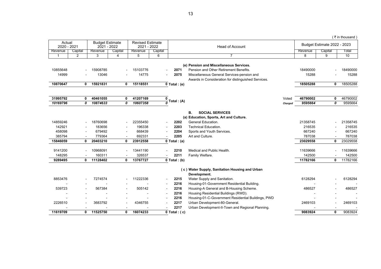|                       |                          |                                       |                          |                                        |                          |                                |                                                     |         |          |                             | (₹in thousand |
|-----------------------|--------------------------|---------------------------------------|--------------------------|----------------------------------------|--------------------------|--------------------------------|-----------------------------------------------------|---------|----------|-----------------------------|---------------|
| Actual<br>2020 - 2021 |                          | <b>Budget Estimate</b><br>2021 - 2022 |                          | <b>Revised Estimate</b><br>2021 - 2022 |                          |                                | <b>Head of Account</b>                              |         |          | Budget Estimate 2022 - 2023 |               |
| Revenue               | Capital                  | Revenue                               | Capital                  | Revenue                                | Capital                  |                                |                                                     |         | Revenue  | Capital                     | Total         |
| $\overline{1}$        | $\overline{2}$           | 3                                     | $\overline{4}$           | 5                                      | 6                        |                                | $\overline{7}$                                      |         | 8        | 9                           | 10            |
|                       |                          |                                       |                          |                                        |                          |                                |                                                     |         |          |                             |               |
|                       |                          |                                       |                          |                                        |                          |                                | (e) Pension and Miscellaneous Services.             |         |          |                             |               |
| 10855648              |                          | 15908785                              |                          | 15103776                               |                          | 2071                           | Pension and Other Retirement Benefits.              |         | 18490000 |                             | 18490000      |
| 14999                 |                          | 13046                                 |                          | 14775                                  |                          | 2075                           | Miscellaneous General Services-pension and          |         | 15288    |                             | 15288         |
|                       |                          |                                       |                          |                                        |                          |                                | Awards in Consideration for distinguished Services. |         |          |                             |               |
| 10870647              | $\mathbf{0}$             | 15921831                              | 0                        | 15118551                               |                          | $0$ Total : (e)                |                                                     |         | 18505288 | 0                           | 18505288      |
|                       |                          |                                       |                          |                                        |                          |                                |                                                     |         |          |                             |               |
| 31995792              | 0                        | 40461055                              | 0                        | 41207169                               | 0                        |                                |                                                     | Voted   | 46790002 | 0                           | 46790002      |
| 10169796              | 0                        | 10874633                              | 0                        | 10607358                               |                          | $\frac{1}{\theta}$ Total : (A) |                                                     | Charged | 9595664  | 0                           | 9595664       |
|                       |                          |                                       |                          |                                        |                          |                                |                                                     |         |          |                             |               |
|                       |                          |                                       |                          |                                        |                          |                                | В.<br><b>SOCIAL SERVICES</b>                        |         |          |                             |               |
|                       |                          |                                       |                          |                                        |                          |                                | (a) Education, Sports, Art and Culture.             |         |          |                             |               |
| 14859246              |                          | 18760698                              |                          | 22355450                               | $\blacksquare$           | 2202                           | General Education.                                  |         | 21358745 |                             | 21358745      |
| 142921                | $\overline{a}$           | 183656                                |                          | 196338                                 |                          | 2203                           | <b>Technical Education.</b>                         |         | 216535   |                             | 216535        |
| 458098                | $\overline{\phantom{a}}$ | 679492                                | $\overline{\phantom{a}}$ | 668439                                 |                          | 2204                           | Sports and Youth Services.                          |         | 667240   | $\overline{\phantom{a}}$    | 667240        |
| 385794                | $\blacksquare$           | 779364                                | $\overline{a}$           | 692331                                 | $\blacksquare$           | 2205                           | Art and Culture.                                    |         | 787038   | $\blacksquare$              | 787038        |
| 15846059              | 0                        | 20403210                              | $\mathbf{0}$             | 23912558                               |                          | $0$ Total : (a)                |                                                     |         | 23029558 | 0                           | 23029558      |
|                       |                          |                                       |                          |                                        |                          |                                |                                                     |         |          |                             |               |
| 9141200               |                          | 10968091                              |                          | 13441190                               |                          | 2210                           | Medical and Public Health.                          |         | 11639666 |                             | 11639666      |
| 148295                | $\blacksquare$           | 160311                                | $\overline{\phantom{a}}$ | 326537                                 | $\overline{\phantom{a}}$ | 2211                           | Family Welfare.                                     |         | 142500   |                             | 142500        |
| 9289495               | $\mathbf{0}$             | 11128402                              | 0                        | 13767727                               |                          | $0$ Total : (b)                |                                                     |         | 11782166 | 0                           | 11782166      |
|                       |                          |                                       |                          |                                        |                          |                                |                                                     |         |          |                             |               |
|                       |                          |                                       |                          |                                        |                          |                                | (c) Water Supply, Sanitation Housing and Urban      |         |          |                             |               |
|                       |                          |                                       |                          |                                        |                          |                                | Development.                                        |         |          |                             |               |
| 8853476               |                          | 7274574                               |                          | 11222336                               | $\overline{\phantom{a}}$ | 2215                           | Water Supply and Sanitation.                        |         | 6128294  |                             | 6128294       |
|                       |                          |                                       |                          |                                        | $\overline{\phantom{a}}$ | 2216                           | Housing-01-Government Residential Building.         |         |          |                             |               |
| 539723                | $\overline{a}$           | 567384                                |                          | 505142                                 | $\overline{a}$           | 2216                           | Housing-A General and B-Housing Scheme.             |         | 486527   |                             | 486527        |
|                       |                          |                                       |                          |                                        | $\overline{\phantom{a}}$ | 2216                           | Housing Residential Buildings (RWD).                |         |          |                             |               |
|                       |                          |                                       |                          |                                        |                          | 2216                           | Housing-01-C-Government Residential Buildings, PWD  |         |          |                             |               |
| 2226510               |                          | 3683792                               |                          | 4346755                                |                          | 2217                           | Urban Development-80-General.                       |         | 2469103  |                             | 2469103       |
|                       |                          |                                       |                          |                                        |                          | 2217                           | Urban Development-II-Town and Regional Planning.    |         |          |                             |               |
| 11619709              | 0                        | 11525750                              | 0                        | 16074233                               |                          | $\overline{0}$ Total : (c)     |                                                     |         | 9083924  | 0                           | 9083924       |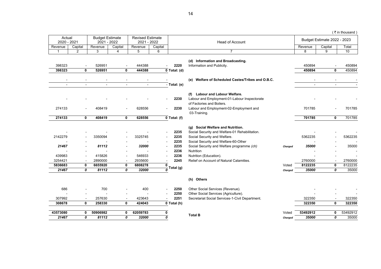|                       |                               |                                       |                                  |                                        |                          |                           |                                                                                                                     |         |          |                               | (₹in thousand |
|-----------------------|-------------------------------|---------------------------------------|----------------------------------|----------------------------------------|--------------------------|---------------------------|---------------------------------------------------------------------------------------------------------------------|---------|----------|-------------------------------|---------------|
| Actual<br>2020 - 2021 |                               | <b>Budget Estimate</b><br>2021 - 2022 |                                  | <b>Revised Estimate</b><br>2021 - 2022 |                          |                           | <b>Head of Account</b>                                                                                              |         |          | Budget Estimate 2022 - 2023   |               |
| Revenue               | Capital                       | Revenue                               | Capital                          | Revenue                                | Capital                  |                           |                                                                                                                     |         | Revenue  | Capital                       | Total         |
| $\mathbf{1}$          | $\overline{2}$                | 3                                     | 4                                | 5                                      | 6                        |                           | $\overline{7}$                                                                                                      |         | 8        | 9                             | 10            |
| 398323                |                               | 526951                                |                                  | 444388                                 |                          | 2220                      | (d) Information and Broadcasting.<br>Information and Publicity.                                                     |         | 450894   |                               | 450894        |
| 398323                | 0                             | 526951                                | 0                                | 444388                                 |                          | $\overline{0}$ Total: (d) |                                                                                                                     |         | 450894   | $\mathbf{0}$                  | 450894        |
|                       |                               |                                       |                                  |                                        |                          | $-$ Total: (e)            | (e) Welfare of Scheduled Castes/Tribes and O.B.C.                                                                   |         |          |                               |               |
|                       |                               |                                       |                                  |                                        |                          |                           |                                                                                                                     |         |          |                               |               |
|                       |                               |                                       |                                  |                                        | -                        | 2230                      | (f) Labour and Labour Welfare.<br>Labour and Employment-01-Labour Inspectorate<br>of Factories and Boilers.         |         |          |                               |               |
| 274133                |                               | 408419                                |                                  | 628556                                 |                          | 2230                      | Labour and Employment-02-Employment and<br>03-Training.                                                             |         | 701785   |                               | 701785        |
| 274133                | $\mathbf 0$                   | 408419                                | $\mathbf 0$                      | 628556                                 |                          | $0$ Total: (f)            |                                                                                                                     |         | 701785   | $\mathbf 0$                   | 701785        |
| 2142279               |                               | 3350094                               |                                  | 3325745                                | $\overline{\phantom{a}}$ | 2235<br>2235              | (g) Social Welfare and Nutrition.<br>Social Security and Welfare-01 Rehabilitation.<br>Social Security and Welfare. |         | 5362235  |                               | 5362235       |
| 21467                 |                               | 81112                                 | $\blacksquare$<br>$\blacksquare$ | 32000                                  | $\blacksquare$           | 2235<br>2235<br>2236      | Social Security and Welfare-60-Other<br>Social Security and Welfare programme (ch)<br><b>Nutrition</b>              | Charged | 35000    |                               | 35000         |
| 439983<br>3254421     |                               | 415826<br>2890000                     |                                  | 546933<br>2935600                      |                          | 2236<br>2245              | Nutrition (Education).<br>Relief on Account of Natural Calamities.                                                  |         | 2760000  |                               | 2760000       |
| 5836683               | $\overline{\phantom{a}}$<br>0 | 6655920                               | $\overline{\phantom{a}}$<br>0    | 6808278                                | 0                        |                           |                                                                                                                     | Voted   | 8122235  | $\overline{\phantom{a}}$<br>0 | 8122235       |
| 21467                 | 0                             | 81112                                 | 0                                | 32000                                  |                          | Total (g)                 |                                                                                                                     | Charged | 35000    | 0                             | 35000         |
|                       |                               |                                       |                                  |                                        |                          |                           | (h) Others                                                                                                          |         |          |                               |               |
| 686                   |                               | 700                                   |                                  | 400                                    |                          | 2250                      | Other Social Services (Revenue).                                                                                    |         |          |                               |               |
|                       |                               |                                       |                                  |                                        |                          | 2250                      | Other Social Services (Agriculture).                                                                                |         |          |                               |               |
| 307992                | $\blacksquare$                | 257630                                | $\blacksquare$                   | 423643                                 | $\blacksquare$           | 2251                      | Secretariat Social Services-1-Civil Department.                                                                     |         | 322350   | $\blacksquare$                | 322350        |
| 308678                | $\mathbf 0$                   | 258330                                | 0                                | 424043                                 |                          | $\overline{0}$ Total (h)  |                                                                                                                     |         | 322350   | $\mathbf{0}$                  | 322350        |
| 43573080              | 0                             | 50906982                              | 0                                | 62059783                               | 0                        |                           |                                                                                                                     | Voted   | 53492912 | 0                             | 53492912      |
| 21467                 | 0                             | 81112                                 | 0                                | 32000                                  | 0                        |                           | <b>Total B</b>                                                                                                      | Charged | 35000    | 0                             | 35000         |
|                       |                               |                                       |                                  |                                        |                          |                           |                                                                                                                     |         |          |                               |               |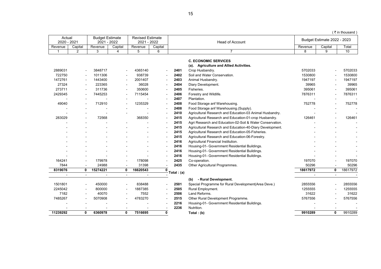|                       |                |                                       |         |                                        |                          |            |                                                           |                |                             | (₹in thousand |
|-----------------------|----------------|---------------------------------------|---------|----------------------------------------|--------------------------|------------|-----------------------------------------------------------|----------------|-----------------------------|---------------|
| Actual<br>2020 - 2021 |                | <b>Budget Estimate</b><br>2021 - 2022 |         | <b>Revised Estimate</b><br>2021 - 2022 |                          |            | <b>Head of Account</b>                                    |                | Budget Estimate 2022 - 2023 |               |
| Revenue               | Capital        | Revenue                               | Capital | Revenue                                | Capital                  |            |                                                           | Revenue        | Capital                     | Total         |
| -1                    | $\overline{2}$ | 3                                     | 4       | 5                                      | 6                        |            | $\overline{7}$                                            | 8              | 9                           | 10            |
|                       |                |                                       |         |                                        |                          |            | <b>C. ECONOMIC SERVICES</b>                               |                |                             |               |
|                       |                |                                       |         |                                        |                          |            | (a). Agriculture and Allied Activities.                   |                |                             |               |
| 2889031               | $\overline{a}$ | 3848717                               |         | 4365140                                | $\blacksquare$           | 2401       | Crop Husbandry.                                           | 5702033        |                             | 5702033       |
| 722750                | $\blacksquare$ | 1011306                               |         | 938739                                 | $\blacksquare$           | 2402       | Soil and Water Conservation.                              | 1530800        | $\overline{a}$              | 1530800       |
| 1472761               |                | 1443400                               |         | 2001407                                | $\blacksquare$           | 2403       | Animal Husbandry.                                         | 1947197        |                             | 1947197       |
| 27324                 |                | 223365                                |         | 36028                                  | $\blacksquare$           | 2404       | Diary Development.                                        | 39965          |                             | 39965         |
| 273711                |                | 311736                                |         | 350600                                 | $\overline{\phantom{a}}$ | 2405       | Fisheries.                                                | 395061         |                             | 395061        |
| 2429345               | $\blacksquare$ | 7445253                               |         | 7115454                                | $\overline{a}$           | 2406       | Forestry and Wildlife.                                    | 7876311        | $\blacksquare$              | 7876311       |
|                       |                |                                       |         |                                        | $\overline{\phantom{a}}$ | 2407       | Plantation.                                               |                |                             |               |
| 49040                 |                | 712910                                |         | 1235329                                | $\overline{\phantom{a}}$ | 2408       | Food Storage anf Warehousing.                             | 752778         |                             | 752778        |
|                       |                |                                       |         |                                        |                          | 2408       | Food Storage anf Warehousing.(Supply).                    |                |                             |               |
|                       |                |                                       |         |                                        |                          | 2410       | Agricultural Research and Education-03 Animal Husbandry.  |                |                             |               |
| 283029                |                | 72568                                 |         | 368350                                 | $\blacksquare$           | 2415       | Agricultural Research and Education-01-crop Husbandry.    | 126461         |                             | 126461        |
|                       |                |                                       |         |                                        | $\overline{\phantom{a}}$ | 2415       | Agri Research and Education-02-Soil & Water Conservation. |                |                             |               |
|                       |                |                                       |         |                                        | $\overline{a}$           | 2415       | Agricultural Research and Education-40-Diary Development. |                |                             |               |
|                       |                |                                       |         |                                        |                          | 2415       | Agricultural Research and Education-05-Fisheries.         |                |                             |               |
|                       |                |                                       |         |                                        |                          | 2415       | Agricultural Research and Education-06-Forestry.          |                |                             |               |
|                       |                |                                       |         |                                        |                          | 2416       | Agricultural Financial Institution.                       |                |                             |               |
|                       |                |                                       |         |                                        | $\overline{a}$           | 2416       | Housing-01- Government Residential Buildings.             |                |                             |               |
|                       |                |                                       |         |                                        |                          | 2416       | Housing-01- Government Residential Buildings.             |                |                             |               |
|                       |                |                                       |         |                                        | $\overline{a}$           | 2416       | Housing-01- Government Residential Buildings.             |                |                             |               |
| 164241                |                | 179978                                |         | 178098                                 |                          | 2425       | Co-operation.                                             | 197070         |                             | 197070        |
| 7844                  | $\blacksquare$ | 24988                                 |         | 31398                                  |                          | 2435       | Other Agricultural Programmes.                            | 50296          | $\blacksquare$              | 50296         |
| 8319076               | 0              | 15274221                              | 0       | 16620543                               | $\mathbf 0$              |            |                                                           | 18617972       | 0                           | 18617972      |
| $\blacksquare$        | $\sim$         | $\overline{a}$                        | $\sim$  | $\blacksquare$                         |                          | Total: (a) |                                                           | $\blacksquare$ | $\overline{a}$              | $\sim$        |
|                       |                |                                       |         |                                        |                          |            | (b)<br>- Rural Development.                               |                |                             |               |
| 1501801               | $\overline{a}$ | 450000                                |         | 838488                                 | $\blacksquare$           | 2501       | Special Programme for Rural Development(Area Deve.)       | 2855556        |                             | 2855556       |
| 2245042               |                | 800000                                |         | 1887385                                |                          | 2505       | Rural Employment.                                         | 1255555        |                             | 1255555       |
| 7182                  |                | 40070                                 |         | 7552                                   | $\overline{\phantom{a}}$ | 2506       | Land Reforms.                                             | 31622          |                             | 31622         |
| 7485267               |                | 5070908                               |         | 4783270                                | $\blacksquare$           | 2515       | Other Rural Development Programme.                        | 5767556        |                             | 5767556       |
|                       |                |                                       |         |                                        | $\overline{\phantom{a}}$ | 2216       | Housing-01- Government Residential Buildings.             |                |                             |               |
|                       |                |                                       |         |                                        |                          | 2236       | Nutrition.                                                |                |                             |               |
| 11239292              | 0              | 6360978                               | 0       | 7516695                                | $\mathbf 0$              |            | Total: $(b)$                                              | 9910289        | 0                           | 9910289       |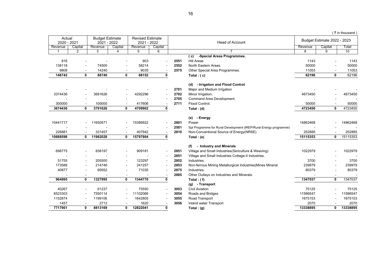|                       |                          |                                       |                          |                                        |                          |      |                                                                   |          |                             | (₹in thousand |
|-----------------------|--------------------------|---------------------------------------|--------------------------|----------------------------------------|--------------------------|------|-------------------------------------------------------------------|----------|-----------------------------|---------------|
| Actual<br>2020 - 2021 |                          | <b>Budget Estimate</b><br>2021 - 2022 |                          | <b>Revised Estimate</b><br>2021 - 2022 |                          |      | <b>Head of Account</b>                                            |          | Budget Estimate 2022 - 2023 |               |
| Revenue               | Capital                  | Revenue                               | Capital                  | Revenue                                | Capital                  |      |                                                                   | Revenue  | Capital                     | Total         |
| $\mathbf 1$           | 2                        | 3                                     | 4                        | 5                                      | 6                        |      | $\overline{7}$                                                    | 8        | 9                           | 10            |
|                       |                          |                                       |                          |                                        |                          |      | -Special Areas Programmes.<br>(c)                                 |          |                             |               |
| 816                   |                          |                                       |                          | 903                                    |                          | 2551 | <b>Hill Areas</b>                                                 | 1143     |                             | 1143          |
| 138118                |                          | 74500                                 |                          | 58214                                  |                          | 2552 | North Eastern Areas.                                              | 50000    |                             | 50000         |
| 9808                  |                          | 14240                                 |                          | 9035                                   |                          | 2575 | Other Special Area Programmes.                                    | 11053    |                             | 11053         |
| 148742                | $\mathbf{0}$             | 88740                                 | 0                        | 68152                                  | 0                        |      | Total: $(c)$                                                      | 62196    | $\mathbf{0}$                | 62196         |
|                       |                          |                                       |                          |                                        |                          |      |                                                                   |          |                             |               |
|                       |                          |                                       |                          |                                        |                          |      | (d) - Irrigation and Flood Control                                |          |                             |               |
|                       |                          |                                       |                          |                                        |                          | 2701 | Major and Medium Irrigation                                       |          |                             |               |
| 3374436               |                          | 3691626                               |                          | 4292296                                |                          | 2702 | Minor Irrigation.                                                 | 4673450  |                             | 4673450       |
|                       |                          |                                       |                          |                                        |                          | 2705 | Command Area Development.                                         |          |                             |               |
| 300000                |                          | 100000                                | $\overline{\phantom{a}}$ | 417606                                 |                          | 2711 | Flood Control.                                                    | 50000    |                             | 50000         |
| 3674436               | 0                        | 3791626                               | 0                        | 4709902                                | 0                        |      | Total: $(d)$                                                      | 4723450  | 0                           | 4723450       |
|                       |                          |                                       |                          |                                        |                          |      | (e) - Energy                                                      |          |                             |               |
| 10441717              |                          | 11650571                              |                          | 15389922                               |                          | 2801 | Power                                                             | 14862468 |                             | 14862468      |
|                       |                          |                                       |                          |                                        | $\blacksquare$           | 2501 | Spl Programme for Rural Development (IREP/Rural Energy programme) |          |                             |               |
| 226881                |                          | 331457                                |                          | 407942                                 | $\overline{\phantom{a}}$ | 2810 | Non-Conventional Source of Energy(NRSE)                           | 252885   |                             | 252885        |
| 10668598              | 0                        | 11982028                              | 0                        | 15797864                               | 0                        |      | Total: (e)                                                        | 15115353 | 0                           | 15115353      |
|                       |                          |                                       |                          |                                        |                          |      |                                                                   |          |                             |               |
|                       |                          |                                       |                          |                                        |                          |      | - Industry and Minerals<br>(f)                                    |          |                             |               |
| 698775                |                          | 838197                                |                          | 909181                                 | $\overline{\phantom{a}}$ | 2851 | Village and Small Industries (Sericulture & Weaving)              | 1022979  |                             | 1022979       |
|                       |                          |                                       |                          |                                        | $\overline{\phantom{a}}$ | 2851 | Village and Small Industries Cottage-II Industries.               |          |                             |               |
| 51755                 | $\blacksquare$           | 205500                                |                          | 123297                                 |                          | 2852 | Industries.                                                       | 3700     |                             | 3700          |
| 173588                | $\blacksquare$           | 214746                                | $\blacksquare$           | 241257                                 |                          | 2853 | Non-ferrous Mining Metallurgical Industries (Mines Mineral        | 239979   |                             | 239979        |
| 40877                 |                          | 69552                                 | $\overline{\phantom{a}}$ | 71035                                  |                          | 2875 | Industries.                                                       | 80379    |                             | 80379         |
|                       |                          |                                       |                          |                                        |                          | 2885 | Other Outlays on Industries and Minerals.                         |          |                             |               |
| 964995                | $\mathbf{0}$             | 1327995                               | $\mathbf{0}$             | 1344770                                | 0                        |      | Total: $(f)$                                                      | 1347037  | $\mathbf{0}$                | 1347037       |
|                       |                          |                                       |                          |                                        |                          |      | (g) - Transport                                                   |          |                             |               |
| 40267                 |                          | 61237                                 |                          | 75550                                  | $\overline{\phantom{a}}$ | 3053 | <b>Civil Aviation</b>                                             | 75125    |                             | 75125         |
| 6523303               | $\overline{a}$           | 7550114                               |                          | 11102066                               | $\blacksquare$           | 3054 | Roads and Bridges                                                 | 11586547 |                             | 11586547      |
| 1152874               | $\overline{\phantom{a}}$ | 1199106                               |                          | 1642805                                | $\overline{\phantom{a}}$ | 3055 | Road Transport                                                    | 1675153  |                             | 1675153       |
| 1457                  |                          | 2712                                  |                          | 1620                                   | $\blacksquare$           | 3056 | Inland water Transport                                            | 2070     |                             | 2070          |
| 7717901               | 0                        | 8813169                               | 0                        | 12822041                               | $\mathbf{0}$             |      | Total: (g)                                                        | 13338895 | 0                           | 13338895      |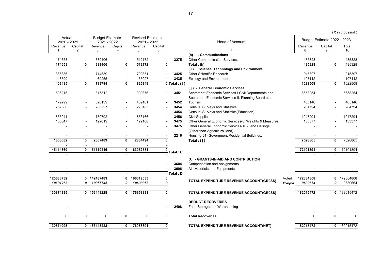|  | ( ₹ in thousand) |  |
|--|------------------|--|

| Actual         |                          | <b>Budget Estimate</b> |                          | <b>Revised Estimate</b> |             |                  |                                                                 |         |              | Budget Estimate 2022 - 2023 |             |
|----------------|--------------------------|------------------------|--------------------------|-------------------------|-------------|------------------|-----------------------------------------------------------------|---------|--------------|-----------------------------|-------------|
| 2020 - 2021    |                          | 2021 - 2022            |                          | 2021 - 2022             |             |                  | <b>Head of Account</b>                                          |         |              |                             |             |
| Revenue        | Capital<br>2             | Revenue                | Capital                  | Revenue                 | Capital     |                  |                                                                 |         | Revenue<br>я | Capital<br>q                | Total<br>10 |
|                |                          | 3                      |                          | 5                       | 6           |                  | - Communications                                                |         |              |                             |             |
| 174653         |                          | 389406                 |                          | 512172                  |             | 3275             | (h)<br>Other Communication Services.                            |         | 435328       |                             | 435328      |
| 174653         | 0                        | 389406                 | 0                        | 512172                  | $\mathbf 0$ |                  |                                                                 |         | 435328       | 0                           | 435328      |
|                |                          |                        |                          |                         |             |                  | Total: (h)<br><b>Science, Technology and Environment</b><br>(i) |         |              |                             |             |
| 386886         | $\overline{a}$           | 714539                 | $\overline{a}$           | 790851                  |             | 3425             | <b>Other Scientific Research</b>                                |         | 915397       | $\overline{a}$              | 915397      |
| 16599          |                          | 69255                  |                          | 35097                   |             | 3435             | <b>Ecology and Environment</b>                                  |         | 107112       |                             | 107112      |
| 403485         | 0                        | 783794                 | 0                        | 825948                  |             | $0$ Total: $(i)$ |                                                                 |         | 1022509      | 0                           | 1022509     |
|                |                          |                        |                          |                         |             |                  | (j) - General Economic Services                                 |         |              |                             |             |
| 595215         | $\sim$                   | 817312                 |                          | 1099876                 |             | 3451             | Secretariat Economic Services-I Civil Departments and           |         | 5658254      |                             | 5658254     |
|                |                          |                        |                          |                         |             |                  | Secretariat Economic Services-II, Planning Board etc.           |         |              |                             |             |
| 179299         |                          | 320139                 |                          | 489161                  |             | 3452             | Tourism                                                         |         | 405146       |                             | 405146      |
| 267380         | $\overline{\phantom{a}}$ | 288227                 |                          | 270183                  |             | 3454             | Census, Surveys and Statistics                                  |         | 284794       |                             | 284794      |
|                |                          |                        |                          |                         |             | 3454             | Census, Surveys and Statistics(Education)                       |         |              |                             |             |
| 655941         |                          | 759792                 |                          | 853166                  |             | 3456             | <b>Civil Supplies</b>                                           |         | 1047294      |                             | 1047294     |
| 105847         |                          | 122019                 |                          | 122108                  |             | 3475             | Other General Economic Services-01 Weights & Measures.          |         | 133377       |                             | 133377      |
|                |                          |                        |                          |                         |             | 3475             | Other General Economic Services-10I-Land Ceilings               |         |              |                             |             |
|                |                          |                        |                          |                         |             |                  | (Other than Agricultural land).                                 |         |              |                             |             |
|                |                          |                        |                          |                         |             | 2216             | Housing-01- Government Residential Buildings.                   |         |              |                             |             |
| 1803682        | 0                        | 2307489                | 0                        | 2834494                 | 0           |                  | Total: $(i)$                                                    |         | 7528865      | 0                           | 7528865     |
|                |                          |                        |                          |                         |             |                  |                                                                 |         |              |                             |             |
| 45114860       | 0                        | 51119446               | 0                        | 63052581                | 0           |                  |                                                                 |         | 72101894     | 0                           | 72101894    |
|                | $\blacksquare$           |                        | $\overline{\phantom{a}}$ |                         |             | <b>Total</b> : C |                                                                 |         |              | $\blacksquare$              |             |
|                |                          |                        |                          |                         |             |                  | <b>D. - GRANTS-IN-AID AND CONTRIBUTION</b>                      |         |              |                             |             |
|                |                          |                        |                          |                         |             | 3604             | <b>Compensation and Assignments</b>                             |         |              |                             |             |
|                |                          |                        |                          |                         |             | 3606             | Aid Materials and Equipments                                    |         |              |                             |             |
| $\blacksquare$ | $\blacksquare$           |                        | $\blacksquare$           |                         |             | - Total: D       |                                                                 |         |              | $\sim$                      |             |
| 120683732      |                          | 0 142487483            | 0                        | 166319533               | 0           |                  | TOTAL EXPENDITURE REVENUE ACCOUNT(GR0SS)                        | Voted   | 172384808    |                             | 0 172384808 |
| 10191263       | 0                        | 10955745               | 0                        | 10639358                | 0           |                  |                                                                 | Charged | 9630664      | 0                           | 9630664     |
| 130874995      |                          | 0 153443228            |                          | 0 176958891             | $\mathbf 0$ |                  | TOTAL EXPENDITURE REVENUE ACCOUNT(GR0SS)                        |         | 182015472    |                             | 0 182015472 |
|                |                          |                        |                          |                         |             |                  |                                                                 |         |              |                             |             |
|                |                          |                        |                          |                         |             |                  | <b>DEDUCT RECOVERIES</b>                                        |         |              |                             |             |
|                |                          |                        |                          |                         |             | 2408             | Food Storage and Warehousing                                    |         |              |                             |             |
| 0              | 0                        | 0                      | 0                        | 0                       | 0           |                  | <b>Total Recoveries</b>                                         |         | 0            | 0                           | 0           |
|                |                          |                        |                          |                         |             |                  |                                                                 |         |              |                             |             |
| 130874995      |                          | 0 153443228            |                          | 0 176958891             | 0           |                  | TOTAL EXPENDITURE REVENUE ACCOUNT(NET)                          |         | 182015472    |                             | 0 182015472 |
|                |                          |                        |                          |                         |             |                  |                                                                 |         |              |                             |             |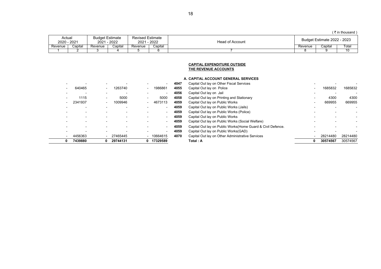$($  ₹ in thousand )

| Actual<br>2020 - 2021 |         | <b>Budget Estimate</b><br>2022<br>2021 |         | <b>Revised Estimate</b><br>2022<br>2021 |         | Head of Account | 2023<br>Estimate 2022 |         |      |  |
|-----------------------|---------|----------------------------------------|---------|-----------------------------------------|---------|-----------------|-----------------------|---------|------|--|
| Revenue               | اapital | Revenue                                | Capital | Revenue                                 | Capital |                 | Revenue               | Capital | Гоtа |  |
|                       |         |                                        |         |                                         |         |                 |                       |         | 10   |  |

### **CAPITAL EXPENDITURE OUTSIDE THE REVENUE ACCOUNTS**

## **A. CAPITAL ACCOUNT GENERAL SERVICES**

| 0 | 7439880 | 0                        | 29744131 | 0                        | 17329589 |
|---|---------|--------------------------|----------|--------------------------|----------|
|   | 4456363 | $\overline{\phantom{a}}$ | 27465445 | $\overline{\phantom{0}}$ | 10664615 |
|   |         |                          |          |                          |          |
|   |         |                          |          |                          |          |
|   |         |                          |          |                          |          |
|   |         |                          |          |                          |          |
|   |         |                          |          |                          |          |
|   |         |                          |          |                          |          |
|   | 2341937 |                          | 1009946  | -                        | 4673113  |
|   | 1115    |                          | 5000     |                          | 5000     |
|   |         |                          |          |                          |          |
|   | 640465  |                          | 1263740  |                          | 1986861  |
|   |         |                          |          |                          |          |

| 7439880 | 0  | 29744131                 | 17329589    |      | Total : A                                                    | 0 | 30574567 | 30574567 |
|---------|----|--------------------------|-------------|------|--------------------------------------------------------------|---|----------|----------|
| 4456363 | -  | 27465445                 | $-10664615$ | 4070 | Capital Out lay on Other Administrative Services             |   | 28214480 | 28214480 |
|         |    |                          |             | 4059 | Capital Out lay on Public Works (GAD)                        |   |          |          |
|         |    |                          |             | 4059 | Capital Out lay on Public Works (Home Guard & Civil Defence. |   |          |          |
|         |    |                          |             | 4059 | Capital Out lay on Public Works (Social Welfare)             |   |          |          |
|         |    |                          |             | 4059 | Capital Out lay on Public Works                              |   |          |          |
|         |    |                          |             | 4059 | Capital Out lay on Public Works (Police)                     |   |          |          |
|         |    |                          |             | 4059 | Capital Out lay on Public Works (Jails)                      |   |          |          |
| 2341937 |    | 1009946                  | 4673113     | 4059 | Capital Out lay on Public Works                              |   | 669955   | 669955   |
| 1115    | -  | 5000                     | 5000        | 4058 | Capital Out lay on Printing and Stationary                   |   | 4300     | 4300     |
|         | ۰. | $\overline{\phantom{a}}$ |             | 4056 | Capital Out lay on Jail                                      |   |          |          |
| 640465  | ۰  | 1263740                  | 1986861     | 4055 | Capital Out lay on Police                                    |   | 1685832  | 1685832  |
|         |    |                          |             | 4047 | Capital Out lay on Other Fiscal Services                     |   |          |          |
|         |    |                          |             |      |                                                              |   |          |          |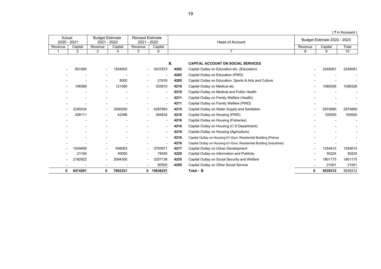| ₹ in fhousand ` |  |
|-----------------|--|
|                 |  |

| Actual<br>2020 - 2021 |         | <b>Budget Estimate</b><br>1 - 2022<br>2021 |         | Revised Estimate<br>$-2022$<br>2021 |         | Head of Account | <b>Budget Estimate 2022 - 2023</b> |         |       |  |
|-----------------------|---------|--------------------------------------------|---------|-------------------------------------|---------|-----------------|------------------------------------|---------|-------|--|
| Revenue               | Capital | Revenue                                    | Capital | Revenue                             | Capital | Revenue         |                                    | Capital | Total |  |
|                       |         |                                            |         |                                     |         |                 |                                    |         | ιu    |  |

|                |              |                |         |                          | В.                       |      | <b>CAPITAL ACCOUNT ON SOCIAL SERVICES</b>                            |   |         |         |
|----------------|--------------|----------------|---------|--------------------------|--------------------------|------|----------------------------------------------------------------------|---|---------|---------|
|                | 651084       |                | 1554002 | $\sim$                   | 3437873                  | 4202 | Capital Outlay on Education etc. (Education)                         |   | 2248081 | 2248081 |
|                |              |                |         | $\blacksquare$           | $\overline{\phantom{a}}$ | 4202 | Capital Outlay on Education (PWD)                                    |   |         |         |
|                |              | $\blacksquare$ | 5000    | $\sim$                   | 21916                    | 4205 | Capital Outlay on Education, Sports & Arts and Culture               |   |         |         |
| $\blacksquare$ | 106068       | Ξ.             | 121560  | $\overline{\phantom{a}}$ | 303610                   | 4210 | Capital Outlay on Medical etc.                                       |   | 1089326 | 1089326 |
|                |              |                |         |                          | $\blacksquare$           | 4210 | Capital Outlay on Medical and Public Health                          |   |         |         |
|                |              |                |         | -                        | $\overline{\phantom{0}}$ | 4211 | Capital Outlay on Family Welfare (Health)                            |   |         |         |
|                |              |                |         |                          | $\overline{\phantom{a}}$ | 4211 | Capital Outlay on Family Welfare (PWD)                               |   |         |         |
|                | 2245534      | $\blacksquare$ | 2500000 | $\blacksquare$           | 4287963                  | 4215 | Capital Outlay on Water Supply and Sanitation                        |   | 2974890 | 2974890 |
|                | 208111       | $\blacksquare$ | 42396   | $\blacksquare$           | 394832                   | 4216 | Capital Outlay on Housing (PWD)                                      |   | 100000  | 100000  |
|                |              |                |         |                          | $\blacksquare$           | 4216 | Capital Outlay on Housing (Fisheries)                                |   |         |         |
|                |              |                |         | $\overline{\phantom{a}}$ | $\blacksquare$           | 4216 | Capital Outlay on Housing (C D Department)                           |   |         |         |
|                |              |                |         | -                        | $\blacksquare$           | 4216 | Capital Outlay on Housing (Agriculture)                              |   |         |         |
|                |              |                |         | $\blacksquare$           | ٠                        | 4216 | Capital Outlay on Housing-01-Govt. Residential Building (Police)     |   |         |         |
|                |              |                |         |                          | $\overline{\phantom{a}}$ | 4216 | Capital Outlay on Housing-01-Govt. Residential Building (Industries) |   |         |         |
|                | 1049408      | $\blacksquare$ | 656063  | $\blacksquare$           | 3793971                  | 4217 | Capital Outlay on Urban Development                                  |   | 1254615 | 1254615 |
|                | 21164        | $\blacksquare$ | 40000   | $\overline{\phantom{a}}$ | 78450                    | 4220 | Capital Outlay on Information and Publicity                          |   | 50224   | 50224   |
|                | 192922<br>21 |                | 2084300 | $\blacksquare$           | 3257136                  | 4235 | Capital Outlay on Social Security and Welfare                        |   | 1801175 | 1801175 |
|                |              |                |         | $\blacksquare$           | 60500                    | 4250 | Capital Outlay on Other Social Service                               |   | 21001   | 21001   |
| 0              | 6474291      | 0              | 7003321 | 0                        | 15636251                 |      | Total: B                                                             | 0 | 9539312 | 9539312 |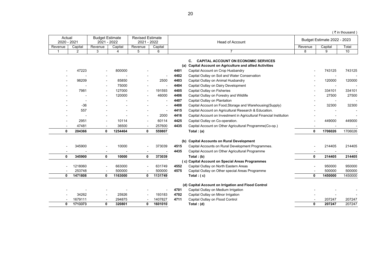|                       |                |                                       |         |                                        |                |              |                                                                                                                                                                                                     |         |                             | (₹in thousand ) |
|-----------------------|----------------|---------------------------------------|---------|----------------------------------------|----------------|--------------|-----------------------------------------------------------------------------------------------------------------------------------------------------------------------------------------------------|---------|-----------------------------|-----------------|
| Actual<br>2020 - 2021 |                | <b>Budget Estimate</b><br>2021 - 2022 |         | <b>Revised Estimate</b><br>2021 - 2022 |                |              | <b>Head of Account</b>                                                                                                                                                                              |         | Budget Estimate 2022 - 2023 |                 |
| Revenue               | Capital        | Revenue                               | Capital | Revenue                                | Capital        |              |                                                                                                                                                                                                     | Revenue | Capital                     | Total           |
| $\mathbf 1$           | $\overline{2}$ | 3                                     | 4       | 5                                      | 6              |              | $\overline{7}$                                                                                                                                                                                      | 8       | 9                           | 10              |
|                       | 47223          |                                       | 800000  |                                        | $\blacksquare$ | 4401<br>4402 | C.<br><b>CAPITAL ACCOUNT ON ECONOMIC SERVICES</b><br>(a) Capital Account on Agriculture and allied Activities<br>Capital Account on Crop Husbandry<br>Capital Outlay on Soil and Water Conservation |         | 743125                      | 743125          |
|                       | 98209          |                                       | 85850   |                                        | 2500           | 4403         | Capital Outlay on Animal Husbandry                                                                                                                                                                  |         | 120000                      | 120000          |
|                       |                |                                       | 75000   |                                        |                | 4404         | Capital Outlay on Dairy Development                                                                                                                                                                 |         |                             |                 |
|                       | 7981           |                                       | 127000  |                                        | 191593         | 4405         | Capital Outlay on Fisheries                                                                                                                                                                         |         | 334101                      | 334101          |
|                       |                |                                       | 120000  |                                        | 46000          | 4406         | Capital Outlay on Forestry and Wildlife                                                                                                                                                             |         | 27500                       | 27500           |
|                       |                |                                       |         |                                        |                | 4407         | Capital Outlay on Plantation                                                                                                                                                                        |         |                             |                 |
|                       | $-36$          |                                       |         |                                        |                | 4408         | Capital Account on Food, Storage and Warehousing (Supply)                                                                                                                                           |         | 32300                       | 32300           |
|                       | 557            |                                       |         |                                        |                | 4415         | Capital Account on Agricultural Research & Education.                                                                                                                                               |         |                             |                 |
|                       |                |                                       |         |                                        | 2000           | 4416         | Capital Account on Investment in Agricultural Financial Institution                                                                                                                                 |         |                             |                 |
|                       | 2951           |                                       | 10114   |                                        | 60114          | 4425         | Capital Outlay on Co-operation.                                                                                                                                                                     |         | 449000                      | 449000          |
|                       | 47481          |                                       | 36500   |                                        | 257600         | 4435         | Capital Account on Other Agricultural Programme(Co-op.)                                                                                                                                             |         |                             |                 |
| 0                     | 204366         | 0                                     | 1254464 | 0                                      | 559807         |              | Total: $(a)$                                                                                                                                                                                        | 0       | 1706026                     | 1706026         |
|                       |                |                                       |         |                                        |                |              | (b) Capital Accounts on Rural Development                                                                                                                                                           |         |                             |                 |
|                       | 345900         |                                       | 10000   |                                        | 373039         | 4515         | Capital Accounts on Rural Development Programmes.                                                                                                                                                   |         | 214405                      | 214405          |
|                       |                |                                       |         |                                        |                | 4435         | Capital Account on Other Agricultural Programme                                                                                                                                                     |         |                             |                 |
| 0                     | 345900         | $\mathbf{0}$                          | 10000   | 0                                      | 373039         |              | Total: (b)                                                                                                                                                                                          | 0       | 214405                      | 214405          |
|                       |                |                                       |         |                                        |                |              | (c) Capital Account on Special Areas Programmes                                                                                                                                                     |         |                             |                 |
|                       | 1218060        |                                       | 663000  |                                        | 631749         | 4552         | Capital Outlay on North Eastern Areas                                                                                                                                                               |         | 950000                      | 950000          |
|                       | 253748         |                                       | 500000  |                                        | 500000         | 4575         | Capital Outlay on Other special Areas Programme                                                                                                                                                     |         | 500000                      | 500000          |
| 0                     | 1471808        | $\mathbf{0}$                          | 1163000 | 0                                      | 1131749        |              | Total: $(c)$                                                                                                                                                                                        | 0       | 1450000                     | 1450000         |
|                       |                |                                       |         |                                        |                |              | (d) Capital Account on Irrigation and Flood Control                                                                                                                                                 |         |                             |                 |
|                       |                |                                       |         |                                        |                | 4701         | Capital Outlay on Medium Irrigation                                                                                                                                                                 |         |                             |                 |
|                       | 34262          |                                       | 25926   |                                        | 193183         | 4702         | Capital Outlay on Minor Irrigation                                                                                                                                                                  |         |                             |                 |
|                       | 1679111        |                                       | 294875  |                                        | 1407827        | 4711         | Capital Outlay on Flood Control                                                                                                                                                                     |         | 207247                      | 207247          |
| 0                     | 1713373        | 0                                     | 320801  | 0                                      | 1601010        |              | Total: (d)                                                                                                                                                                                          | 0       | 207247                      | 207247          |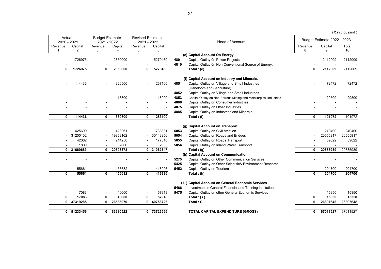$($  ₹ in thousand )

| Actual<br>2020 - 2021 |            | <b>Budget Estimate</b><br>2021 - 2022 |          | <b>Revised Estimate</b><br>2021 - 2022 |            |      | <b>Head of Account</b>                                                       |          | Budget Estimate 2022 - 2023 |          |
|-----------------------|------------|---------------------------------------|----------|----------------------------------------|------------|------|------------------------------------------------------------------------------|----------|-----------------------------|----------|
| Revenue               | Capital    | Revenue                               | Capital  | Revenue                                | Capital    |      |                                                                              | Revenue  | Capital                     | Total    |
|                       |            | 3                                     |          | 5                                      | 6          |      |                                                                              | 8        | 9                           | 10       |
|                       |            |                                       |          |                                        |            |      | (e) Capital Account On Energy                                                |          |                             |          |
|                       | 1726975    |                                       | 2350000  |                                        | 5270460    | 4801 | Capital Outlay 0n Power Projects                                             |          | 2112009                     | 2112009  |
|                       |            |                                       |          |                                        |            | 4810 | Capital Outlay 0n Non Conventional Source of Energy.                         |          |                             |          |
| 0                     | 1726975    | 0                                     | 2350000  | 0                                      | 5270460    |      | Total: (e)                                                                   | 0        | 2112009                     | 2112009  |
|                       |            |                                       |          |                                        |            |      |                                                                              |          |                             |          |
|                       | 114436     |                                       | 326500   |                                        | 267100     | 4851 | (f) Capital Account on Industry and Minerals.                                |          | 72472                       | 72472    |
|                       |            |                                       |          |                                        |            |      | Capital Outlay on Village and Small Industries<br>(Handloom and Sericulture) |          |                             |          |
|                       |            |                                       |          |                                        |            | 4852 | Capital Outlay on Village and Small Industries                               |          |                             |          |
|                       |            |                                       | 13300    |                                        | 16000      | 4853 | Capital Outlay on Non-Ferrous Mining and Metallurgical Industries            |          | 29500                       | 29500    |
|                       |            |                                       |          |                                        |            | 4860 | Capital Outlay on Consumer Industries                                        |          |                             |          |
|                       |            |                                       |          |                                        |            | 4875 | Capital Outlay on Other Industries                                           |          |                             |          |
|                       |            |                                       |          |                                        |            | 4885 | Capital Outlay on Industries and Minerals                                    |          |                             |          |
| 0                     | 114436     | 0                                     | 339800   | 0                                      | 283100     |      | Total: $(f)$                                                                 | 0        | 101972                      | 101972   |
|                       |            |                                       |          |                                        |            |      |                                                                              |          |                             |          |
|                       |            |                                       |          |                                        |            |      | (g) Capital Account on Transport                                             |          |                             |          |
|                       | 425699     |                                       | 428961   |                                        | 733881     | 5053 | Capital Outlay on Civil Aviation                                             |          | 240400                      | 240400   |
|                       | 31200102   |                                       | 19953162 |                                        | 30148956   | 5054 | Capital Outlay on Roads and Bridges                                          |          | 20555917                    | 20555917 |
|                       | 42082      |                                       | 214250   |                                        | 177810     | 5055 | Capital Outlay on Roads Transport                                            |          | 89622                       | 89622    |
|                       | 1800       |                                       | 2000     |                                        | 2000       | 5056 | Capital Outlay on Inland Water Transport.                                    |          |                             |          |
|                       | 0 31669683 | 0                                     | 20598373 |                                        | 0 31062647 |      | Total: $(g)$                                                                 | $\bf{0}$ | 20885939                    | 20885939 |
|                       |            |                                       |          |                                        |            |      | (h) Capital Account on Communication                                         |          |                             |          |
|                       |            |                                       |          |                                        |            | 5275 | Capital Outlay on Other Communication Services                               |          |                             |          |
|                       |            |                                       |          |                                        |            | 5425 | Capital Outlay on Other Scientific& Environment Research                     |          |                             |          |
|                       | 55661      |                                       | 456632   |                                        | 416996     | 5452 | Capital Outlay on Tourism                                                    |          | 204700                      | 204700   |
| 0                     | 55661      | 0                                     | 456632   | 0                                      | 416996     |      | Total: $(h)$                                                                 | $\bf{0}$ | 204700                      | 204700   |
|                       |            |                                       |          |                                        |            |      |                                                                              |          |                             |          |
|                       |            |                                       |          |                                        |            |      | (i) Capital Account on General Economic Services                             |          |                             |          |
|                       |            |                                       |          |                                        |            | 5466 | Investment in General Financial and Training Institutions                    |          |                             |          |
|                       | 17083      |                                       | 40000    |                                        | 57918      | 5475 | Capital Outlay on other General Economic Services                            |          | 15350                       | 15350    |
| 0                     | 17083      | 0                                     | 40000    | 0                                      | 57918      |      | Total: $(i)$                                                                 | 0        | 15350                       | 15350    |
| 0                     | 37319285   | 0                                     | 26533070 | 0                                      | 40756726   |      | Total: C                                                                     | 0        | 26897648                    | 26897648 |
|                       |            |                                       |          |                                        |            |      |                                                                              |          |                             |          |
| 0                     | 51233456   | 0                                     | 63280522 |                                        | 0 73722566 |      | <b>TOTAL CAPITAL EXPENDITURE (GROSS)</b>                                     | 0        | 67011527                    | 67011527 |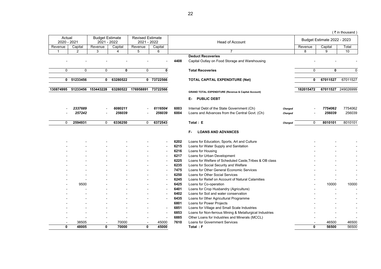|                       |            |                                       |                |                                        |                          |      |                                                                            |         |             |                             | (₹in thousand |
|-----------------------|------------|---------------------------------------|----------------|----------------------------------------|--------------------------|------|----------------------------------------------------------------------------|---------|-------------|-----------------------------|---------------|
| Actual<br>2020 - 2021 |            | <b>Budget Estimate</b><br>2021 - 2022 |                | <b>Revised Estimate</b><br>2021 - 2022 |                          |      | <b>Head of Account</b>                                                     |         |             | Budget Estimate 2022 - 2023 |               |
| Revenue               | Capital    | Revenue                               | Capital        | Revenue                                | Capital                  |      |                                                                            |         | Revenue     | Capital                     | Total         |
| $\mathbf{1}$          | 2          | 3                                     | $\overline{4}$ | 5                                      | 6                        |      | $\overline{7}$                                                             |         | 8           | 9                           | 10            |
|                       |            |                                       |                |                                        |                          | 4408 | <b>Deduct Recoveries</b><br>Capital Outlay on Food Storage and Warehousing |         |             |                             |               |
| 0                     | 0          | 0                                     | 0              | $\mathbf 0$                            | 0                        |      | <b>Total Recoveries</b>                                                    |         | $\mathbf 0$ | 0                           | $\mathbf 0$   |
|                       | 0 51233456 | 0                                     | 63280522       |                                        | 0 73722566               |      | <b>TOTAL CAPITAL EXPENDITURE (Net)</b>                                     |         | 0           | 67011527                    | 67011527      |
| 130874995             |            | 51233456 153443228                    | 63280522       | 176958891                              | 73722566                 |      | <b>GRAND TOTAL EXPENDITURE (Revenue &amp; Capital Account)</b>             |         | 182015472   | 67011527                    | 249026999     |
|                       |            |                                       |                |                                        |                          |      | <b>PUBLIC DEBT</b><br>Е-                                                   |         |             |                             |               |
|                       | 2337689    |                                       | 6080211        |                                        | 6116504                  | 6003 | Internal Debt of the State Government (Ch)                                 | Charged |             | 7754062                     | 7754062       |
|                       | 257242     |                                       | 256039         |                                        | 256039                   | 6004 | Loans and Advances from the Central Govt. (Ch)                             | Charged |             | 256039                      | 256039        |
|                       |            |                                       |                |                                        |                          |      |                                                                            |         |             |                             |               |
| 0                     | 2594931    | $\mathbf 0$                           | 6336250        | $\mathbf 0$                            | 6372543                  |      | Total: E                                                                   | Charged | $\mathbf 0$ | 8010101                     | 8010101       |
|                       |            |                                       |                |                                        |                          |      | F- 1<br><b>LOANS AND ADVANCES</b>                                          |         |             |                             |               |
|                       |            |                                       |                |                                        |                          | 6202 | Loans for Education, Sports, Art and Culture                               |         |             |                             |               |
|                       |            |                                       |                |                                        |                          | 6215 | Loans for Water Supply and Sanitation                                      |         |             |                             |               |
|                       |            |                                       |                |                                        |                          | 6216 | Loans for Housing                                                          |         |             |                             |               |
|                       |            |                                       |                |                                        |                          | 6217 | Loans for Urban Development                                                |         |             |                             |               |
|                       |            |                                       |                |                                        | $\blacksquare$           | 6225 | Loans for Welfare of Scheduled Caste, Tribes & OB class                    |         |             |                             |               |
|                       |            |                                       |                |                                        | $\overline{\phantom{a}}$ | 6235 | Loans for Social Security and Welfare                                      |         |             |                             |               |
|                       |            |                                       |                |                                        | $\blacksquare$           | 7475 | Loans for Other General Economic Services                                  |         |             |                             |               |
|                       |            |                                       |                |                                        | $\blacksquare$           | 6250 | Loans for Other Social Services                                            |         |             |                             |               |
|                       |            |                                       |                |                                        | $\overline{\phantom{a}}$ | 6245 | Loans for Relief on Account of Natural Calamities                          |         |             |                             |               |
|                       | 9500       |                                       |                |                                        | $\blacksquare$           | 6425 | Loans for Co-operation                                                     |         |             | 10000                       | 10000         |
|                       |            |                                       |                |                                        | $\overline{\phantom{a}}$ | 6401 | Loans for Crop Husbandry (Agriculture)                                     |         |             |                             |               |
|                       |            |                                       |                |                                        | $\blacksquare$           | 6402 | Loans for Soil and water conservation                                      |         |             |                             |               |
|                       |            |                                       |                |                                        | $\blacksquare$           | 6435 | Loans for 0ther Agricultural Programme                                     |         |             |                             |               |
|                       |            |                                       |                |                                        |                          | 6801 | Loans for Power Projects                                                   |         |             |                             |               |
|                       |            |                                       |                |                                        |                          | 6851 | Loans for Village and Small Scale Industries                               |         |             |                             |               |
|                       |            |                                       |                |                                        | $\overline{\phantom{a}}$ | 6853 | Loans for Non-ferrous Mining & Metallurgical Industries                    |         |             |                             |               |
|                       |            |                                       |                |                                        | $\overline{\phantom{a}}$ | 6885 | Other Loans for Industries and Minerals (MCCL)                             |         |             |                             |               |
|                       | 38505      |                                       | 70000          |                                        | 45000                    | 7610 | <b>Loans for Government Services</b>                                       |         |             | 46500                       | 46500         |

**0 48005 0 70000 0 45000 Total : F 0 56500** 56500

22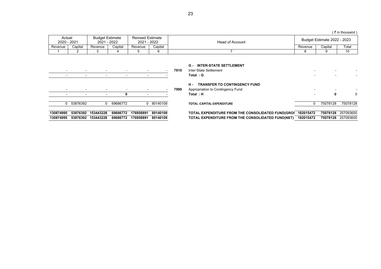|         |             |                        |             |                                        |         |                 |         |                             | ( ₹ in thousand ) |
|---------|-------------|------------------------|-------------|----------------------------------------|---------|-----------------|---------|-----------------------------|-------------------|
| Actual  | 2020 - 2021 | <b>Budget Estimate</b> | 2021 - 2022 | <b>Revised Estimate</b><br>2021 - 2022 |         | Head of Account |         | Budget Estimate 2022 - 2023 |                   |
| Revenue | Capital     | Revenue                | Capital     | Revenue                                | Capital |                 | Revenue | Capital                     | Total             |
|         |             |                        |             |                                        |         |                 |         |                             | 10                |

### **G - INTER-STATE SETTLEMENT**

| $\overline{\phantom{a}}$ |                          |                          |          |           | $\overline{\phantom{a}}$ | 7810 | Inter-State Settlement                            |           |          |                    |
|--------------------------|--------------------------|--------------------------|----------|-----------|--------------------------|------|---------------------------------------------------|-----------|----------|--------------------|
| $\overline{\phantom{a}}$ |                          |                          |          |           |                          |      | Total: G                                          |           |          |                    |
|                          |                          |                          |          |           |                          |      | <b>TRANSFER TO CONTINGENCY FUND</b><br>н.         |           |          |                    |
| $\overline{\phantom{a}}$ | $\overline{\phantom{a}}$ | $\overline{\phantom{0}}$ |          |           |                          | 7999 | Appropriation to Contingency Fund                 |           |          |                    |
|                          |                          |                          |          |           |                          |      | Total: H                                          |           | 0        | 0                  |
|                          |                          |                          |          |           |                          |      |                                                   |           |          |                    |
|                          | 0 53876392               | $^{\circ}$               | 69686772 |           | 0 80140109               |      | <b>TOTAL: CAPITAL EXPENDITURE</b>                 |           | 75078128 | 75078128           |
|                          |                          |                          |          |           |                          |      |                                                   |           |          |                    |
| 130874995                | 53876392                 | 153443228                | 69686772 | 176958891 | 80140109                 |      | TOTAL EXPENDITURE FROM THE CONSOLIDATED FUND(GROS | 182015472 |          | 75078128 257093600 |
| 130874995                | 53876392                 | 153443228                | 69686772 | 176958891 | 80140109                 |      | TOTAL EXPENDITURE FROM THE CONSOLIDATED FUND(NET) | 182015472 | 75078128 | 257093600          |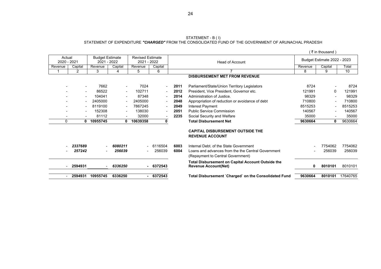#### STATEMENT - B ( I) STATEMENT OF EXPENDITURE *"CHARGED"* FROM THE CONSOLIDATED FUND OF THE GOVERNMENT OF ARUNACHAL PRADESH

|                       |                          |                                       |                          |                                        |                          |      |                                                                                         |         | (₹in thousand)              |          |
|-----------------------|--------------------------|---------------------------------------|--------------------------|----------------------------------------|--------------------------|------|-----------------------------------------------------------------------------------------|---------|-----------------------------|----------|
| Actual<br>2020 - 2021 |                          | <b>Budget Estimate</b><br>2021 - 2022 |                          | <b>Revised Estimate</b><br>2021 - 2022 |                          |      | <b>Head of Account</b>                                                                  |         | Budget Estimate 2022 - 2023 |          |
| Revenue               | Capital                  | Revenue                               | Capital                  | Revenue                                | Capital                  |      |                                                                                         | Revenue | Capital                     | Total    |
|                       | $\overline{2}$           | 3                                     | 4                        | 5                                      | 6                        |      | $\overline{7}$                                                                          | 8       | 9                           | 10       |
|                       |                          |                                       |                          |                                        |                          |      | <b>DISBURSEMENT MET FROM REVENUE</b>                                                    |         |                             |          |
|                       | $\overline{\phantom{a}}$ | 7662                                  |                          | 7024                                   | $\sim$                   | 2011 | Parliament/State/Union Territory Legislators                                            | 8724    |                             | 8724     |
|                       | $\overline{\phantom{a}}$ | 86522                                 | $\sim$                   | 102711                                 | $\sim$                   | 2012 | President, Vice President, Governor etc.                                                | 121991  | 0                           | 121991   |
|                       | $\sim$                   | 104041                                | $\blacksquare$           | 87348                                  | $\blacksquare$           | 2014 | Administration of Justice.                                                              | 98329   |                             | 98329    |
|                       | $\overline{\phantom{a}}$ | 2405000                               |                          | 2405000                                | $\overline{\phantom{a}}$ | 2048 | Appropriation of reduction or avoidance of debt                                         | 710800  |                             | 710800   |
|                       | $\overline{\phantom{a}}$ | 8119100                               | $\overline{\phantom{a}}$ | 7867245                                | $\overline{\phantom{a}}$ | 2049 | Interest Payment                                                                        | 8515253 | $\blacksquare$              | 8515253  |
|                       |                          | 152308                                |                          | 138030                                 |                          | 2051 | <b>Public Service Commission</b>                                                        | 140567  |                             | 140567   |
|                       | $\overline{\phantom{a}}$ | 81112                                 | $\blacksquare$           | 32000                                  | $\overline{\phantom{a}}$ | 2235 | Social Security and Welfare                                                             | 35000   | $\overline{\phantom{a}}$    | 35000    |
| $\Omega$              | 0                        | 10955745                              | $\mathbf{0}$             | 10639358                               | 0                        |      | <b>Total Disbursement Net</b>                                                           | 9630664 | 0                           | 9630664  |
|                       |                          |                                       |                          |                                        |                          |      | <b>CAPITAL DISBURSEMENT OUTSIDE THE</b><br><b>REVENUE ACCOUNT</b>                       |         |                             |          |
|                       | 2337689                  |                                       | 6080211                  |                                        | 6116504                  | 6003 | Internal Debt, of the State Government                                                  |         | 7754062                     | 7754062  |
|                       | 257242                   |                                       | 256039                   |                                        | 256039                   | 6004 | Loans and advances from the the Central Government<br>(Repayment to Central Government) |         | 256039                      | 256039   |
|                       | 2594931                  |                                       | 6336250                  |                                        | 6372543                  |      | <b>Total Disbursement on Capital Account Outside the</b><br><b>Revenue Account(Net)</b> | 0       | 8010101                     | 8010101  |
|                       | 2594931                  | 10955745                              | 6336250                  |                                        | $-6372543$               |      | Total Disbursement `Charged` on the Consolidated Fund                                   | 9630664 | 8010101                     | 17640765 |

24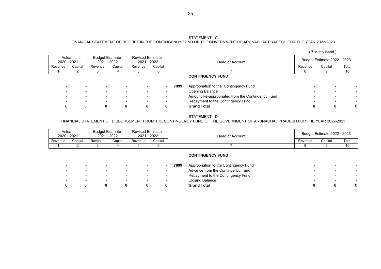#### STATEMENT - C

25

## FINANCIAL STATEMENT OF RECEIPT IN THE CONTINGENCY FUND OF THE GOVERNMENT OF ARUNACHAL PRADESH FOR THE YEAR 2022-2023

| ( ₹ in thousand) |  |
|------------------|--|
|------------------|--|

| Actual<br>2020 - 2021    |                          | <b>Budget Estimate</b>   | 2021 - 2022              | <b>Revised Estimate</b><br>2021 - 2022 |         |      | Head of Account                                  |                          | <b>Budget Estimate 2022 - 2023</b> |          |
|--------------------------|--------------------------|--------------------------|--------------------------|----------------------------------------|---------|------|--------------------------------------------------|--------------------------|------------------------------------|----------|
| Revenue                  | Capital                  | Revenue                  | Capital                  | Revenue                                | Capital |      |                                                  | Revenue                  | Capital                            | Total    |
|                          |                          |                          |                          |                                        | 6       |      |                                                  |                          |                                    | 10       |
|                          |                          |                          |                          |                                        |         |      | <b>CONTINGENCY FUND</b>                          |                          |                                    |          |
|                          |                          |                          |                          |                                        |         | 7999 | Appropriation to the Contingency Fund            |                          |                                    |          |
|                          |                          |                          |                          |                                        |         |      | <b>Opening Balance</b>                           |                          |                                    |          |
|                          |                          |                          |                          |                                        |         |      | Amount Re-appropriated from the Contingency Fund |                          |                                    |          |
| $\overline{\phantom{0}}$ | $\overline{\phantom{a}}$ | $\overline{\phantom{0}}$ | $\overline{\phantom{0}}$ | $\overline{\phantom{0}}$               |         |      | Repayment to the Contingency Fund                | $\overline{\phantom{a}}$ | $\overline{\phantom{0}}$           |          |
| U                        | 0                        |                          | 0                        | 0                                      |         |      | <b>Grand Total</b>                               | 0                        |                                    | $\Omega$ |
|                          |                          |                          |                          |                                        |         |      |                                                  |                          |                                    |          |

#### STATEMENT - D

## FINANCIAL STATEMENT OF DISBURSEMENT FROM THE CONTINGENCY FUND OF THE GOVERNMENT OF ARUNACHAL PRADESH FOR THE YEAR 2022-2023

| Actual  | 2020 - 2021 | <b>Budget Estimate</b><br>2021 | 1 - 2022 | <b>Revised Estimate</b><br>2021 | $-2022$ | <b>Head of Account</b> |         | Budget Estimate 2022 - 2023 |       |
|---------|-------------|--------------------------------|----------|---------------------------------|---------|------------------------|---------|-----------------------------|-------|
| Revenue | Capital     | Revenue                        | Capital  | Revenue                         | Capital |                        | Revenue | Capital                     | Total |
|         |             |                                |          |                                 |         |                        |         |                             | 10    |

|  | - | $\overline{\phantom{0}}$ | - | Advance from the Contingency Fund<br>Repayment to the Contingency Fund |  |  |
|--|---|--------------------------|---|------------------------------------------------------------------------|--|--|
|  |   |                          |   | Closing Balance                                                        |  |  |
|  |   |                          |   | <b>Grand Total</b>                                                     |  |  |
|  |   |                          |   |                                                                        |  |  |

#### **CONTINGENCY FUND**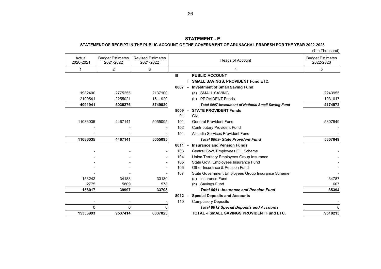## **STATEMENT - E**

## **STATEMENT OF RECEIPT IN THE PUBLIC ACCOUNT OF THE GOVERNMENT OF ARUNACHAL PRADESH FOR THE YEAR 2022-2023**

| (₹ in Thousand) |
|-----------------|
|-----------------|

| <b>Budget Estimates</b><br>2022-2023 | <b>Heads of Account</b>                                    | <b>Revised Estimates</b><br>2021-2022 | <b>Budget Estimates</b><br>2021-2022 | Actual<br>2020-2021      |
|--------------------------------------|------------------------------------------------------------|---------------------------------------|--------------------------------------|--------------------------|
| 5                                    | 4                                                          | 3                                     | $\overline{2}$                       | 1                        |
|                                      | <b>PUBLIC ACCOUNT</b>                                      |                                       |                                      |                          |
|                                      | <b>SMALL SAVINGS, PROVIDENT Fund ETC.</b>                  |                                       |                                      |                          |
|                                      | <b>Investment of Small Saving Fund</b><br>$8007 -$         |                                       |                                      |                          |
| 2243955                              | <b>SMALL SAVING</b><br>(a)                                 | 2137100                               | 2775255                              | 1982400                  |
| 1931017                              | <b>PROVIDENT Funds</b><br>(b)                              | 1611920                               | 2255021                              | 2109541                  |
| 4174972                              | <b>Total 8007-Investment of National Small Saving Fund</b> | 3749020                               | 5030276                              | 4091941                  |
|                                      | <b>STATE PROVIDENT Funds</b>                               |                                       |                                      |                          |
|                                      | Civil                                                      |                                       |                                      |                          |
| 5307849                              | <b>General Provident Fund</b>                              | 5055095                               | 4467141                              | 11086035                 |
|                                      | <b>Contributory Provident Fund</b>                         |                                       |                                      |                          |
|                                      | All India Services Provident Fund                          |                                       |                                      |                          |
| 5307849                              | <b>Total 8009- State Provident Fund</b>                    | 5055095                               | 4467141                              | 11086035                 |
|                                      | <b>Insurance and Pension Funds</b>                         |                                       |                                      |                          |
|                                      | Central Govt. Employees G.I. Scheme                        |                                       |                                      |                          |
|                                      | Union Territory Employees Group Insurance                  |                                       |                                      |                          |
|                                      | State Govt. Employees Insurance Fund                       |                                       |                                      |                          |
|                                      | Other Insurance & Pension Fund                             |                                       |                                      |                          |
|                                      | State Government Employees Group Insurance Scheme          |                                       |                                      |                          |
| 34787                                | Insurance Fund<br>(a)                                      | 33130                                 | 34188                                | 153242                   |
| 607                                  | Savings Fund<br>(b)                                        | 578                                   | 5809                                 | 2775                     |
| 35394                                | <b>Total 8011 -Insurance and Pension Fund</b>              | 33708                                 | 39997                                | 156017                   |
|                                      | <b>Special Deposits and Accounts</b>                       |                                       |                                      |                          |
|                                      | <b>Compulsory Deposits</b>                                 |                                       |                                      | $\overline{\phantom{a}}$ |
|                                      | <b>Total 8012 Special Deposits and Accounts</b>            | $\Omega$                              | $\Omega$                             | $\Omega$                 |
| 9518215                              | <b>TOTAL -I SMALL SAVINGS PROVIDENT Fund ETC.</b>          | 8837823                               | 9537414                              | 15333993                 |
|                                      |                                                            |                                       |                                      |                          |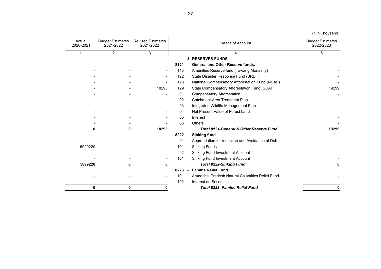| (1.11110000110)                      |                                                    |      |                                       |                                      |                     |
|--------------------------------------|----------------------------------------------------|------|---------------------------------------|--------------------------------------|---------------------|
| <b>Budget Estimates</b><br>2022-2023 | <b>Heads of Account</b>                            |      | <b>Revised Estimates</b><br>2021-2022 | <b>Budget Estimates</b><br>2021-2022 | Actual<br>2020-2021 |
| 5                                    | 4                                                  |      | 3                                     | 2                                    | 1                   |
|                                      | <b>J RESERVES FUNDS</b>                            |      |                                       |                                      |                     |
|                                      | <b>General and Other Reserve funds.</b><br>$\sim$  | 8121 |                                       |                                      |                     |
|                                      | Amenities Reserve fund (Tawang Monastry)           | 113  | $\overline{\phantom{a}}$              |                                      |                     |
|                                      | State Disaster Response Fund (SRDF)                | 122  |                                       |                                      |                     |
|                                      | National Compensatory Afforestation Fund (NCAF)    | 128  |                                       |                                      |                     |
| 19299                                | State Compensatory Afforestation Fund (SCAF)       | 129  | 18293                                 |                                      |                     |
|                                      | <b>Compensatory Afforestation</b>                  | 01   | $\overline{\phantom{0}}$              |                                      |                     |
|                                      | Catchment Area Treatment Plan                      | 02   |                                       |                                      |                     |
|                                      | Integrated Wildlife Management Plan                | 03   |                                       |                                      |                     |
|                                      | Net Present Value of Forest Land                   | 04   |                                       |                                      |                     |
|                                      | Interest                                           | 05   |                                       |                                      |                     |
|                                      | Others                                             | 06   |                                       |                                      |                     |
| 19299                                | <b>Total 8121-General &amp; Other Reserve Fund</b> |      | 18293                                 | 0                                    | 0                   |
|                                      | <b>Sinking fund</b><br>$\blacksquare$              | 8222 |                                       |                                      |                     |
|                                      | Appropriation for reduction and Avoidance of Debt. | 01   |                                       |                                      |                     |
|                                      | <b>Sinking Funds</b>                               | 101  |                                       |                                      | 5099220             |
|                                      | Sinking Fund Investment Account                    | 02   |                                       |                                      |                     |
|                                      | Sinking Fund Investment Account                    | 101  |                                       |                                      |                     |
| 0                                    | <b>Total 8222-Sinking Fund</b>                     |      | 0                                     | 0                                    | 5099220             |
|                                      | <b>Famine Relief Fund</b><br>$\blacksquare$        | 8223 |                                       |                                      |                     |
|                                      | Arunachal Pradesh Natural Calamities Relief Fund   | 101  |                                       |                                      |                     |
|                                      | Interest on Securities                             | 102  |                                       |                                      |                     |
| 0                                    | <b>Total 8223 - Famine Relief Fund</b>             |      |                                       | 0                                    | 0                   |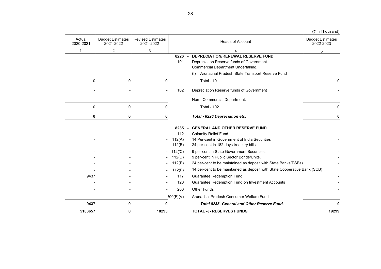| ,, ,,, ,,,ouou,,u                    |                                                                                        |                                       |                                      |                     |
|--------------------------------------|----------------------------------------------------------------------------------------|---------------------------------------|--------------------------------------|---------------------|
| <b>Budget Estimates</b><br>2022-2023 | <b>Heads of Account</b>                                                                | <b>Revised Estimates</b><br>2021-2022 | <b>Budget Estimates</b><br>2021-2022 | Actual<br>2020-2021 |
| 5                                    | 4                                                                                      | $\overline{3}$                        | $\overline{2}$                       | $\mathbf{1}$        |
|                                      | <b>DEPRECIATION/RENEWAL RESERVE FUND</b><br>$8226 -$                                   |                                       |                                      |                     |
|                                      | Depreciation Reserve funds of Government.<br><b>Commercial Department Undertaking.</b> |                                       |                                      |                     |
|                                      | Arunachal Pradesh State Transport Reserve Fund<br>(1)                                  |                                       |                                      |                     |
| 0                                    | <b>Total - 101</b>                                                                     | 0                                     | 0                                    | 0                   |
|                                      | Depreciation Reserve funds of Government                                               |                                       |                                      |                     |
|                                      | Non - Commercial Department.                                                           |                                       |                                      |                     |
| 0                                    | <b>Total - 102</b>                                                                     | 0                                     | 0                                    | 0                   |
| 0                                    | Total - 8226 Depreciation etc.                                                         | 0                                     | 0                                    | 0                   |
|                                      | <b>GENERAL AND OTHER RESERVE FUND</b><br>$8235 -$                                      |                                       |                                      |                     |
|                                      | <b>Calamity Relief Fund</b>                                                            |                                       |                                      |                     |
|                                      | 14 Per-cent in Government of India Securities                                          |                                       |                                      |                     |
|                                      | 24 per-cent in 182 days treasury bills                                                 |                                       |                                      |                     |
|                                      | 9 per-cent in State Government Securities.                                             |                                       |                                      |                     |
|                                      | 9 per-cent in Public Sector Bonds/Units.                                               |                                       |                                      |                     |
|                                      | 24 per-cent to be maintained as deposit with State Banks(PSBs)                         |                                       |                                      |                     |
|                                      | 14 per-cent to be maintained as deposit with State Cooperative Bank (SCB)              |                                       |                                      |                     |
|                                      | <b>Guarantee Redemption Fund</b>                                                       |                                       |                                      | 9437                |
|                                      | Guarantee Redemption Fund on Investment Accounts                                       |                                       |                                      |                     |
|                                      | <b>Other Funds</b>                                                                     |                                       |                                      |                     |
|                                      | Arunachal Pradesh Consumer Welfare Fund                                                | $-200(F)(V)$                          |                                      |                     |
| 0                                    | Total 8235 - General and Other Reserve Fund.                                           | 0                                     | $\mathbf{0}$                         | 9437                |
| 19299                                | <b>TOTAL -J- RESERVES FUNDS</b>                                                        | 18293                                 | 0                                    | 5108657             |
|                                      |                                                                                        |                                       |                                      |                     |

 $($ ₹ in Thousand)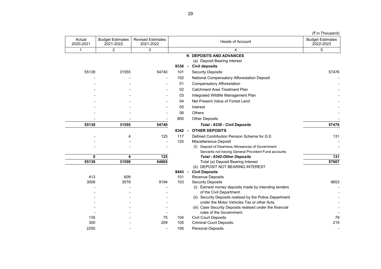|                     |                                      |                                       |            |                                                                                  | (₹ in Thousand)                      |
|---------------------|--------------------------------------|---------------------------------------|------------|----------------------------------------------------------------------------------|--------------------------------------|
| Actual<br>2020-2021 | <b>Budget Estimates</b><br>2021-2022 | <b>Revised Estimates</b><br>2021-2022 |            | <b>Heads of Account</b>                                                          | <b>Budget Estimates</b><br>2022-2023 |
| 1                   | $\overline{2}$                       | 3                                     |            | 4                                                                                | 5                                    |
|                     |                                      |                                       |            | K DEPOSITS AND ADVANCES                                                          |                                      |
|                     |                                      |                                       |            | (a) Deposit Bearing interest                                                     |                                      |
|                     |                                      |                                       |            | 8336 - Civil deposits                                                            |                                      |
| 55139               | 31555                                | 54740                                 | 101        | <b>Security Deposits</b>                                                         | 57476                                |
|                     |                                      |                                       | 102        | National Compensatory Afforestation Deposit                                      |                                      |
|                     |                                      |                                       | 01         | <b>Compensatory Afforestation</b>                                                |                                      |
|                     |                                      |                                       | 02         | <b>Catchment Area Treatment Plan</b>                                             |                                      |
|                     |                                      |                                       | 03         | Integrated Wildlife Management Plan                                              |                                      |
|                     |                                      |                                       | 04         | Net Present Value of Forest Land                                                 |                                      |
|                     |                                      |                                       | 05         | Interest                                                                         |                                      |
|                     |                                      |                                       | 06         | Others                                                                           |                                      |
|                     |                                      |                                       | 800        | <b>Other Deposits</b>                                                            |                                      |
| 55139               | 31555                                | 54740                                 |            | Total - 8336 - Civil Deposits                                                    | 57476                                |
|                     |                                      |                                       | 8342       | <b>OTHER DEPOSITS</b><br>$\blacksquare$                                          |                                      |
|                     | 4                                    | 125                                   | 117        | Defined Contribution Pension Scheme for G.E.                                     | 131                                  |
|                     |                                      | $\overline{a}$                        | 120        | Miscellaneous Deposit                                                            |                                      |
|                     |                                      |                                       |            | (I) Deposit of Dearness Allowances of Government                                 |                                      |
|                     |                                      |                                       |            | Servants not having General Provident Fund accounts                              |                                      |
| 0                   | 4                                    | $\overline{125}$                      |            | <b>Total - 8342-Other Deposits</b>                                               | $\overline{131}$                     |
| 55139               | 31559                                | 54865                                 |            | Total (a) Deposit Bearing Interest                                               | 57607                                |
|                     |                                      |                                       |            | (b) DEPOSIT NOT BEARING INTEREST                                                 |                                      |
|                     |                                      |                                       | 8443       | <b>Civil Deposits</b><br>$\sim$                                                  |                                      |
| 413                 | 609                                  |                                       | 101<br>103 | Revenue Deposits                                                                 |                                      |
| 3008                | 3578                                 | 9194                                  |            | <b>Security Deposits</b><br>(i) Earnest money deposits made by intending tenders | 9653                                 |
|                     |                                      |                                       |            | of the Civil Department.                                                         |                                      |
|                     |                                      |                                       |            | (ii) Security Deposits realised by the Police Department                         |                                      |
|                     |                                      |                                       |            | under the Motor Vehicles Tax or other Acts.                                      |                                      |
|                     |                                      |                                       |            | (iii) Case Security Deposits realised under the financial                        |                                      |
|                     |                                      |                                       |            | rules of the Government.                                                         |                                      |
| 135                 |                                      | 75                                    | 104        | <b>Civil Court Deposits</b>                                                      | 79                                   |
| 300                 |                                      | 209                                   | 105        | <b>Criminal Court Deposits.</b>                                                  | 219                                  |
| 2250                |                                      |                                       | 106        | Personal Deposits.                                                               |                                      |

29

 $\mathbb{R}^2$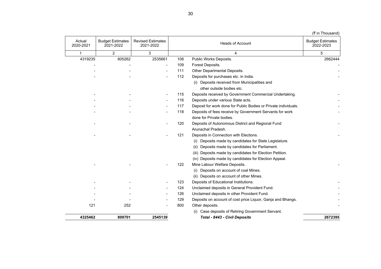|  | (₹ in Thousand) |
|--|-----------------|
|  |                 |
|  |                 |
|  |                 |

| Actual<br>2020-2021 | <b>Budget Estimates</b><br>2021-2022 | <b>Revised Estimates</b><br>2021-2022 |     | <b>Heads of Account</b>                                         | <b>Budget Estimates</b><br>2022-2023 |
|---------------------|--------------------------------------|---------------------------------------|-----|-----------------------------------------------------------------|--------------------------------------|
| $\mathbf{1}$        | $\overline{2}$                       | 3                                     |     | 4                                                               | 5                                    |
| 4319235             | 805262                               | 2535661                               | 108 | Public Works Deposits.                                          | 2662444                              |
|                     |                                      |                                       | 109 | Forest Deposits.                                                |                                      |
|                     |                                      |                                       | 111 | Other Departmental Deposits.                                    |                                      |
|                     |                                      |                                       | 112 | Deposits for purchases etc. in India.                           |                                      |
|                     |                                      |                                       |     | (i) Deposits received from Municipalities and                   |                                      |
|                     |                                      |                                       |     | other outside bodies etc.                                       |                                      |
|                     |                                      |                                       | 115 | Deposits received by Government Commercial Undertaking.         |                                      |
|                     |                                      |                                       | 116 | Deposits under various State acts.                              |                                      |
|                     |                                      |                                       | 117 | Deposit for work done for Public Bodies or Private individuals. |                                      |
|                     |                                      |                                       | 118 | Deposits of fees receive by Government Servants for work        |                                      |
|                     |                                      |                                       |     | done for Private bodies.                                        |                                      |
|                     |                                      |                                       | 120 | Deposits of Autonomous District and Regional Fund               |                                      |
|                     |                                      |                                       |     | Arunachal Pradesh.                                              |                                      |
|                     |                                      |                                       | 121 | Deposits in Connection with Elections.                          |                                      |
|                     |                                      |                                       |     | (i) Deposits made by candidates for State Legislature.          |                                      |
|                     |                                      |                                       |     | Deposits made by candidates for Parliament.                     |                                      |
|                     |                                      |                                       |     | (iii) Deposits made by candidates for Election Petition.        |                                      |
|                     |                                      |                                       |     | (iv) Deposits made by candidates for Election Appeal.           |                                      |
|                     |                                      |                                       | 122 | Mine Labour Welfare Deposits.                                   |                                      |
|                     |                                      |                                       |     | Deposits on account of coal Mines.<br>(i)                       |                                      |
|                     |                                      |                                       |     | (ii) Deposits on account of other Mines.                        |                                      |
|                     |                                      |                                       | 123 | Deposits of Educational Institutions.                           |                                      |
|                     |                                      |                                       | 124 | Unclaimed deposits in General Provident Fund.                   |                                      |
|                     |                                      |                                       | 126 | Unclaimed deposits in other Provident Fund.                     |                                      |
|                     |                                      |                                       | 129 | Deposits on account of cost price Liquor, Ganja and Bhangs.     |                                      |
| 121                 | 252                                  |                                       | 800 | Other deposits.                                                 |                                      |
|                     |                                      |                                       |     | (i) Case deposits of Retiring Government Servant.               |                                      |
| 4325462             | 809701                               | 2545139                               |     | Total - 8443 - Civil Deposits                                   | 2672395                              |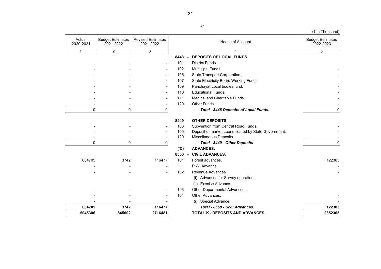|                     |                                      |                                       |        |                                                      | (₹ in Thousand)                      |
|---------------------|--------------------------------------|---------------------------------------|--------|------------------------------------------------------|--------------------------------------|
| Actual<br>2020-2021 | <b>Budget Estimates</b><br>2021-2022 | <b>Revised Estimates</b><br>2021-2022 |        | <b>Heads of Account</b>                              | <b>Budget Estimates</b><br>2022-2023 |
| $\mathbf{1}$        | 2                                    | $\overline{3}$                        |        | 4                                                    | 5                                    |
|                     |                                      |                                       | 8448 - | DEPOSITS OF LOCAL FUNDS.                             |                                      |
|                     |                                      |                                       | 101    | District Funds.                                      |                                      |
|                     |                                      |                                       | 102    | Municipal Funds.                                     |                                      |
|                     |                                      |                                       | 105    | State Transport Corporation.                         |                                      |
|                     |                                      |                                       | 107    | <b>State Electricity Board Working Funds</b>         |                                      |
|                     |                                      |                                       | 109    | Panchayat Local bodies fund.                         |                                      |
|                     |                                      |                                       | 110    | <b>Educational Funds.</b>                            |                                      |
|                     |                                      |                                       | 111    | Medical and Charitable Funds.                        |                                      |
|                     |                                      |                                       | 120    | Other Funds.                                         |                                      |
|                     | 0<br>0                               | 0                                     |        | Total - 8448 Deposits of Local Funds.                | 0                                    |
|                     |                                      |                                       | 8449   | <b>OTHER DEPOSITS.</b><br>$\overline{a}$             |                                      |
|                     |                                      |                                       | 103    | Subvention from Central Road Funds.                  |                                      |
|                     |                                      |                                       | 105    | Deposit of market Loans floated by State Government. |                                      |
|                     |                                      |                                       | 120    | Miscellaneous Deposits.                              |                                      |
|                     | 0<br>0                               | 0                                     |        | Total - 8449 - Other Deposits                        | 0                                    |
|                     |                                      |                                       | (C)    | <b>ADVANCES.</b>                                     |                                      |
|                     |                                      |                                       | 8550 - | <b>CIVIL ADVANCES.</b>                               |                                      |
| 664705              | 3742                                 | 116477                                | 101    | Forest advances.                                     | 122303                               |
|                     |                                      |                                       |        | P.W. Advance.                                        |                                      |
|                     |                                      |                                       | 102    | Revenue Advances                                     |                                      |
|                     |                                      |                                       |        | (i) Advances for Survey operation.                   |                                      |
|                     |                                      |                                       |        | (ii) Execise Advance.                                |                                      |
|                     |                                      |                                       | 103    | Other Departmental Advances.                         |                                      |
|                     |                                      |                                       | 104    | Other Advances.                                      |                                      |
|                     |                                      |                                       |        | (i) Special Advance.                                 |                                      |
| 664705              | 3742                                 | 116477                                |        | Total - 8550 - Civil Advances.                       | 122303                               |
| 5045306             | 845002                               | 2716481                               |        | TOTAL K - DEPOSITS AND ADVANCES.                     | 2852305                              |
|                     |                                      |                                       |        |                                                      |                                      |

31

31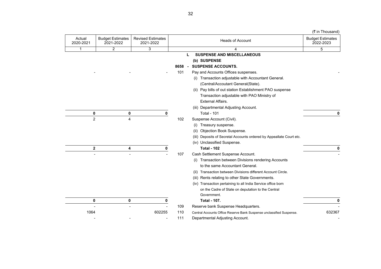| (1.11110000110)                      |                                                                      |                                       |                                      |                     |
|--------------------------------------|----------------------------------------------------------------------|---------------------------------------|--------------------------------------|---------------------|
| <b>Budget Estimates</b><br>2022-2023 | <b>Heads of Account</b>                                              | <b>Revised Estimates</b><br>2021-2022 | <b>Budget Estimates</b><br>2021-2022 | Actual<br>2020-2021 |
| 5                                    | 4                                                                    | 3                                     | $\overline{2}$                       | 1                   |
|                                      | <b>SUSPENSE AND MISCELLANEOUS</b>                                    |                                       |                                      |                     |
|                                      | (b) SUSPENSE                                                         |                                       |                                      |                     |
|                                      | <b>SUSPENSE ACCOUNTS.</b><br>$\sim$                                  |                                       |                                      |                     |
|                                      | Pay and Accounts Offices suspenses.                                  |                                       |                                      |                     |
|                                      | Transaction adjustable with Accountant General.<br>(i)               |                                       |                                      |                     |
|                                      | (Central/Accoutant General(State).                                   |                                       |                                      |                     |
|                                      | (ii) Pay bills of out station Establishment PAO suspense             |                                       |                                      |                     |
|                                      | Transaction adjustable with PAO Ministry of                          |                                       |                                      |                     |
|                                      | External Affairs.                                                    |                                       |                                      |                     |
|                                      | (iii) Departmental Adjusting Account.                                |                                       |                                      |                     |
|                                      | <b>Total - 101</b>                                                   | 0                                     | 0                                    | 0                   |
|                                      | Suspense Account (Civil).                                            |                                       | 4                                    | $\overline{2}$      |
|                                      | Treasury suspense.<br>(i)                                            |                                       |                                      |                     |
|                                      | Objection Book Suspense.<br>(ii)                                     |                                       |                                      |                     |
|                                      | (iii) Deposits of Secretal Accounts ordered by Appeallate Court etc. |                                       |                                      |                     |
|                                      | (iv) Unclassified Suspense.                                          |                                       |                                      |                     |
|                                      | <b>Total - 102</b>                                                   | 0                                     | 4                                    | $\mathbf{2}$        |
|                                      | Cash Settlement Suspense Account.                                    |                                       |                                      |                     |
|                                      | (i) Transaction between Divisions rendering Accounts                 |                                       |                                      |                     |
|                                      | to the same Accountant General.                                      |                                       |                                      |                     |
|                                      | Transaction between Divisions different Account Circle.<br>(ii)      |                                       |                                      |                     |
|                                      | (iii) Rents relating to other State Governments.                     |                                       |                                      |                     |
|                                      | (iv) Transaction pertaining to all India Service office born         |                                       |                                      |                     |
|                                      | on the Cadre of State on deputation to the Central                   |                                       |                                      |                     |
|                                      | Government.                                                          |                                       |                                      |                     |
|                                      | <b>Total - 107.</b>                                                  | 0                                     | 0                                    | 0                   |
|                                      | Reserve bank Suspense Headquarters.                                  |                                       |                                      |                     |
| 632367                               | Central Accounts Office Reserve Bank Suspense unclassified Suspense. | 602255                                |                                      | 1064                |
|                                      | Departmental Adjusting Account.                                      |                                       |                                      |                     |
|                                      |                                                                      |                                       |                                      |                     |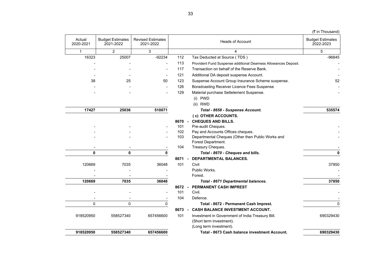|                     |                                      |                                       |        |                                                                              | (₹ in Thousand)                      |
|---------------------|--------------------------------------|---------------------------------------|--------|------------------------------------------------------------------------------|--------------------------------------|
| Actual<br>2020-2021 | <b>Budget Estimates</b><br>2021-2022 | <b>Revised Estimates</b><br>2021-2022 |        | <b>Heads of Account</b>                                                      | <b>Budget Estimates</b><br>2022-2023 |
| $\mathbf{1}$        | $\overline{2}$                       | 3                                     |        | 4                                                                            | 5                                    |
| 16323               | 25007                                | $-92234$                              | 112    | Tax Deducted at Source (TDS)                                                 | $-96845$                             |
|                     |                                      |                                       | 113    | Provident Fund Suspense additional Dearness Allowances Deposit.              |                                      |
|                     |                                      |                                       | 117    | Transaction on behalf of the Reserve Bank.                                   |                                      |
|                     |                                      |                                       | 121    | Additional DA deposit suspense Account.                                      |                                      |
| 38                  | 25                                   | 50                                    | 123    | Suspense Account Group Insurance Scheme suspense.                            | 52                                   |
|                     |                                      |                                       | 126    | Boradcasting Receiver Licence Fees Suspense                                  |                                      |
|                     |                                      |                                       | 129    | Material purchase Settelement Suspense.                                      |                                      |
|                     |                                      |                                       |        | (i) PWD                                                                      |                                      |
|                     |                                      |                                       |        | (ii) RWD                                                                     |                                      |
| 17427               | 25036                                | 510071                                |        | Total - 8658 - Suspense Account.                                             | 535574                               |
|                     |                                      |                                       |        | (c) OTHER ACCOUNTS.                                                          |                                      |
|                     |                                      |                                       | 8670   | <b>CHEQUES AND BILLS.</b><br>$\sim$                                          |                                      |
|                     |                                      |                                       | 101    | Pre-audit Cheques.                                                           |                                      |
|                     |                                      |                                       | 102    | Pay and Accounts Offices cheques.                                            |                                      |
|                     |                                      |                                       | 103    | Departmental Cheques (Other then Public Works and                            |                                      |
|                     |                                      |                                       | 104    | Forest Department.<br>Treasury Cheques.                                      |                                      |
| $\mathbf{0}$        | $\mathbf{0}$                         | 0                                     |        | Total - 8670 - Cheques and bills.                                            | 0                                    |
|                     |                                      |                                       | 8671   | <b>DEPARTMENTAL BALANCES.</b><br>$\blacksquare$                              |                                      |
| 120669              | 7035                                 | 36048                                 | 101    | Civil                                                                        | 37850                                |
|                     |                                      |                                       |        | Public Works.                                                                |                                      |
|                     |                                      |                                       |        | Forest.                                                                      |                                      |
| 120669              | 7035                                 | 36048                                 |        | Total - 8671 Departmental balances.                                          | 37850                                |
|                     |                                      |                                       |        | 8672 - PERMANENT CASH IMPREST                                                |                                      |
|                     |                                      |                                       | 101    | Civil.                                                                       |                                      |
|                     |                                      |                                       | 104    | Defence.                                                                     |                                      |
| $\Omega$            | $\Omega$                             | 0                                     |        | Total - 8672 - Permanent Cash Imprest.                                       | $\Omega$                             |
|                     |                                      |                                       | 8673 - | <b>CASH BALANCE INVESTMENT ACCOUNT.</b>                                      |                                      |
| 918520950           | 558527340                            | 657456600                             | 101    | Investment in Government of India Treasury Bill.<br>(Short term investment). | 690329430                            |
|                     |                                      |                                       |        | (Long term investment).                                                      |                                      |
| 918520950           | 558527340                            | 657456600                             |        | Total - 8673 Cash balance investment Account.                                | 690329430                            |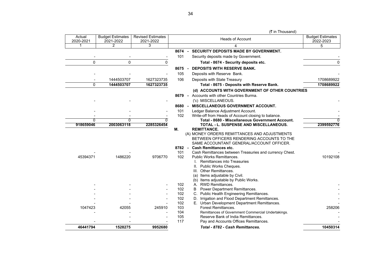| <b>Budget Estimates</b><br>2022-2023 | <b>Heads of Account</b>                                                                                                                                                                                                                                                                                                                                                                                                                                                                 | <b>Revised Estimates</b><br>2021-2022 | <b>Budget Estimates</b><br>2021-2022 | Actual<br>2020-2021 |
|--------------------------------------|-----------------------------------------------------------------------------------------------------------------------------------------------------------------------------------------------------------------------------------------------------------------------------------------------------------------------------------------------------------------------------------------------------------------------------------------------------------------------------------------|---------------------------------------|--------------------------------------|---------------------|
| 5                                    | 4                                                                                                                                                                                                                                                                                                                                                                                                                                                                                       | 3                                     | 2                                    |                     |
|                                      | SECURITY DEPOSITS MADE BY GOVERNMENT.<br>8674 -                                                                                                                                                                                                                                                                                                                                                                                                                                         |                                       |                                      |                     |
|                                      | Security deposits made by Government.                                                                                                                                                                                                                                                                                                                                                                                                                                                   |                                       |                                      |                     |
| 0                                    | Total - 8674 - Security deposits etc.                                                                                                                                                                                                                                                                                                                                                                                                                                                   | 0                                     | 0                                    | 0                   |
|                                      | <b>DEPOSITS WITH RESERVE BANK.</b><br>8675 -                                                                                                                                                                                                                                                                                                                                                                                                                                            |                                       |                                      |                     |
|                                      | Deposits with Reserve Bank.                                                                                                                                                                                                                                                                                                                                                                                                                                                             |                                       |                                      |                     |
| 1708689922                           | Deposits with State Treasury                                                                                                                                                                                                                                                                                                                                                                                                                                                            | 1627323735                            | 1444503707                           |                     |
| 1708689922                           | Total - 8675 - Deposits with Reserve Bank.                                                                                                                                                                                                                                                                                                                                                                                                                                              | 1627323735                            | 1444503707                           | 0                   |
|                                      | (d) ACCOUNTS WITH GOVERNMENT OF OTHER COUNTRIES                                                                                                                                                                                                                                                                                                                                                                                                                                         |                                       |                                      |                     |
|                                      | Accounts with other Countries Burma.<br>8679 -                                                                                                                                                                                                                                                                                                                                                                                                                                          |                                       |                                      |                     |
|                                      | ('c) MISCELLANEOUS.                                                                                                                                                                                                                                                                                                                                                                                                                                                                     |                                       |                                      |                     |
|                                      | <b>MISCELLANEOUS GOVERNMENT ACCOUNT.</b><br>8680 -                                                                                                                                                                                                                                                                                                                                                                                                                                      |                                       |                                      |                     |
|                                      | Ledger Balance Adjustment Account.                                                                                                                                                                                                                                                                                                                                                                                                                                                      |                                       |                                      |                     |
|                                      | Write-off from Heads of Account closing to balance.                                                                                                                                                                                                                                                                                                                                                                                                                                     |                                       |                                      |                     |
|                                      | Total - 8680 - Miscellaneous Government Account.                                                                                                                                                                                                                                                                                                                                                                                                                                        | 0                                     | 0                                    | 0                   |
| 2399592776                           | TOTAL - L. SUSPENSE AND MISCELLANEOUS.<br><b>REMITTANCE.</b>                                                                                                                                                                                                                                                                                                                                                                                                                            | 2285326454                            | 2003063118                           | 918659046           |
| 10192108                             | (A) MONEY ORDERS REMITTANCES AND ADJUSTMENTS<br>BETWEEN OFFICERS RENDERING ACCOUNTS TO THE<br>SAME ACCOUNTANT GENERAL/ACCOUNT OFFICER.<br>8782 -<br><b>Cash Remittances etc.</b><br>Cash Remittances between Treasuries and currency Chest.<br><b>Public Works Remittances.</b><br><b>Remittances into Treasuries</b><br>Ш.<br>Public Works Cheques.<br>III. Other Remittances.<br>Items adjustable by Civil.<br>(b) Items adjustable by Public Works.<br><b>RWD Remittances.</b><br>А. | 9706770                               | 1486220                              | 45394371            |
|                                      | Power Department Remittances.<br>B                                                                                                                                                                                                                                                                                                                                                                                                                                                      |                                       |                                      |                     |
|                                      | C. Public Health Engineering Remittances.                                                                                                                                                                                                                                                                                                                                                                                                                                               |                                       |                                      |                     |
|                                      | D. Irrigation and Flood Department Remittances.                                                                                                                                                                                                                                                                                                                                                                                                                                         |                                       |                                      |                     |
|                                      | E. Urban Development Department Remittances.                                                                                                                                                                                                                                                                                                                                                                                                                                            |                                       |                                      |                     |
| 258206                               | <b>Forest Remittances.</b>                                                                                                                                                                                                                                                                                                                                                                                                                                                              | 245910                                | 42055                                | 1047423             |
|                                      | Remittances of Government Commercial Undertakings.                                                                                                                                                                                                                                                                                                                                                                                                                                      |                                       |                                      |                     |
|                                      | Reserve Bank of India Remittances.<br>Pay and Accounts Offices Remittances.                                                                                                                                                                                                                                                                                                                                                                                                             |                                       |                                      |                     |
| 10450314                             | Total - 8782 - Cash Remittances.                                                                                                                                                                                                                                                                                                                                                                                                                                                        | 9952680                               | 1528275                              | 46441794            |
|                                      |                                                                                                                                                                                                                                                                                                                                                                                                                                                                                         |                                       |                                      |                     |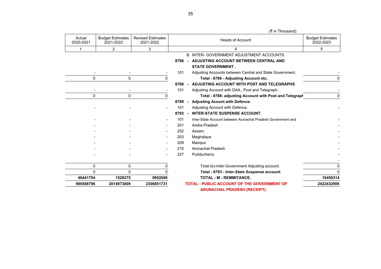Heads of Account 1 2 3 1 4 5 B INTER- GOVERNMENT ADJUSTMENT ACCOUNTS. **8786 - ADJUSTING ACCOUNT BETWEEN CENTRAL AND STATE GOVERNMENT .** - - - 101 Adjusting Accounts between Central and State Government. -  $\overline{0}$  0 0  $\overline{0}$  0  $\overline{0}$   $\overline{1}$  Total - 8786 - Adiusting Account etc. **8788 - ADJUSTING ACCOUNT WITH POST AND TELEGRAPHS** - 101 Adjusting Account with DAA., Post and Telegraph. 0 0 0 **Total - 8788- adjusting Account with Post and Telegraph** 0 **8789 - Adjusting Acount with Defence.** - **101** Adjusting Account with Defence. **8793 - INTER-STATE SUSPENSE ACCOUNT.** - 101 Inter-State Account between Arunachal Pradesh Government and - - - 201 Andra Pradesh - - - - 202 Assam - - - 203 Meghalaya - 2008 - 2008 - 2008 - 2008 - 2008 - 2008 - 2008 - 2008 - 2010 - - - 209 Manipur - - 210 Arunachal Pradesh - - - 227 Pudducherry - - 0 0 0 Total-(b)-Inter-Government Adjusting account. 0 0 0 0 *Total - 8793 - Inter-State Suspense account.* 0 **46441794 1528275 9952680 TOTAL - M - REMMITANCE. 10450314 990588796 2014973809 2306851731 TOTAL - PUBLIC ACCOUNT OF THE GOVERNMENT OF 2422432909 ARUNACHAL PRADESH (RECEIPT).** (₹ in Thousand) Actual 2020-2021 Budget Estimates 2021-2022 Revised Estimates 2021-2022 Budget Estimates 2022-2023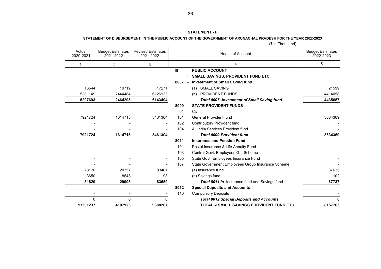### **STATEMENT - F**

## **STATEMENT OF DISBURSEMENT IN THE PUBLIC ACCOUNT OF THE GOVERNMENT OF ARUNACHAL PRADESH FOR THE YEAR 2022-2023**

|                          |                                      |                                       | $(v \sin \theta)$ |  |                                                    |                                      |
|--------------------------|--------------------------------------|---------------------------------------|-------------------|--|----------------------------------------------------|--------------------------------------|
| Actual<br>2020-2021      | <b>Budget Estimates</b><br>2021-2022 | <b>Revised Estimates</b><br>2021-2022 |                   |  | <b>Heads of Account</b>                            | <b>Budget Estimates</b><br>2022-2023 |
| 1                        | 2                                    | 3                                     |                   |  | 4                                                  | 5                                    |
|                          |                                      |                                       | $\mathbf{m}$      |  | <b>PUBLIC ACCOUNT</b>                              |                                      |
|                          |                                      |                                       |                   |  | <b>SMALL SAVINGS, PROVIDENT FUND ETC.</b>          |                                      |
|                          |                                      |                                       | 8007 -            |  | <b>Investment of Small Saving fund</b>             |                                      |
| 16544                    | 19719                                | 17271                                 |                   |  | <b>SMALL SAVING</b><br>(a)                         | 21599                                |
| 5281149                  | 2444484                              | 6126133                               |                   |  | (b) PROVIDENT FUNDS                                | 4414058                              |
| 5297693                  | 2464203                              | 6143404                               |                   |  | <b>Total 8007 -Investment of Small Saving fund</b> | 4435657                              |
|                          |                                      |                                       | 8009              |  | <b>STATE PROVIDENT FUNDS</b>                       |                                      |
|                          |                                      |                                       | 01                |  | Civil                                              |                                      |
| 7921724                  | 1614715                              | 3461304                               | 101               |  | <b>General Provident fund</b>                      | 3634369                              |
|                          |                                      |                                       | 102               |  | <b>Contributory Provident fund</b>                 |                                      |
|                          |                                      |                                       | 104               |  | All India Services Provident fund                  |                                      |
| 7921724                  | 1614715                              | 3461304                               |                   |  | <b>Total 8009-Provident fund</b>                   | 3634369                              |
|                          |                                      |                                       | 8011              |  | <b>Insurance and Pension Fund</b>                  |                                      |
|                          |                                      |                                       | 101               |  | Postal Insurance & Life Annuity Fund               |                                      |
|                          |                                      |                                       | 103               |  | Central Govt. Employees G.I. Scheme                |                                      |
|                          |                                      | $\overline{\phantom{a}}$              | 105               |  | State Govt. Employees Insurance Fund               |                                      |
|                          |                                      |                                       | 107               |  | State Government Employees Group Insurance Scheme  |                                      |
| 78170                    | 20357                                | 83461                                 |                   |  | (a) Insurance fund                                 | 87635                                |
| 3650                     | 8648                                 | 98                                    |                   |  | (b) Savings fund                                   | 102                                  |
| 81820                    | 29005                                | 83559                                 |                   |  | Total 8011 In Insurance fund and Savings fund      | 87737                                |
|                          |                                      |                                       | 8012              |  | <b>Special Deposits and Accounts</b>               |                                      |
| $\overline{\phantom{a}}$ | $\overline{\phantom{a}}$             |                                       | 110               |  | <b>Compulsory Deposits</b>                         |                                      |
| 0                        | 0                                    | 0                                     |                   |  | <b>Total 8012 Special Deposits and Accounts</b>    | 0                                    |
| 13301237                 | 4107923                              | 9688267                               |                   |  | TOTAL -I SMALL SAVINGS PROVIDENT FUND ETC.         | 8157763                              |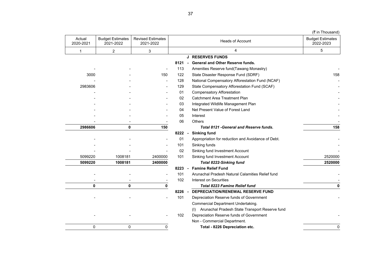|                     |                                      |                                       |      |                                                       | (₹ in Thousand)                      |
|---------------------|--------------------------------------|---------------------------------------|------|-------------------------------------------------------|--------------------------------------|
| Actual<br>2020-2021 | <b>Budget Estimates</b><br>2021-2022 | <b>Revised Estimates</b><br>2021-2022 |      | <b>Heads of Account</b>                               | <b>Budget Estimates</b><br>2022-2023 |
| 1                   | 2                                    | 3                                     |      | 4                                                     | 5                                    |
|                     |                                      |                                       |      | <b>J RESERVES FUNDS</b>                               |                                      |
|                     |                                      |                                       | 8121 | <b>General and Other Reserve funds.</b>               |                                      |
|                     |                                      |                                       | 113  | Amenities Reserve fund(Tawang Monastry)               |                                      |
| 3000                |                                      | 150                                   | 122  | State Disaster Response Fund (SDRF)                   | 158                                  |
|                     |                                      |                                       | 128  | National Compensatory Afforestation Fund (NCAF)       |                                      |
| 2983606             |                                      |                                       | 129  | State Compensatory Afforestation Fund (SCAF)          |                                      |
|                     |                                      |                                       | 01   | <b>Compensatory Afforestation</b>                     |                                      |
|                     |                                      |                                       | 02   | Catchment Area Treatment Plan                         |                                      |
|                     |                                      |                                       | 03   | Integrated Wildlife Management Plan                   |                                      |
|                     |                                      |                                       | 04   | Net Present Value of Forest Land                      |                                      |
|                     |                                      |                                       | 05   | Interest                                              |                                      |
|                     |                                      |                                       | 06   | Others                                                |                                      |
| 2986606             | 0                                    | 150                                   |      | <b>Total 8121 - General and Reserve funds.</b>        | 158                                  |
|                     |                                      |                                       | 8222 | <b>Sinking fund</b>                                   |                                      |
|                     |                                      |                                       | 01   | Appropriation for reduction and Avoidance of Debt.    |                                      |
|                     |                                      |                                       | 101  | Sinking funds                                         |                                      |
|                     |                                      |                                       | 02   | Sinking fund Investment Account                       |                                      |
| 5099220             | 1008181                              | 2400000                               | 101  | Sinking fund Investment Account                       | 2520000                              |
| 5099220             | 1008181                              | 2400000                               |      | <b>Total 8222-Sinking fund</b>                        | 2520000                              |
|                     |                                      |                                       | 8223 | <b>Famine Relief Fund</b>                             |                                      |
|                     |                                      |                                       | 101  | Arunachal Pradesh Natural Calamities Relief fund      |                                      |
|                     |                                      |                                       | 102  | Interest on Securities                                |                                      |
| 0                   | $\mathbf{0}$                         | 0                                     |      | <b>Total 8223 Famine Relief fund</b>                  | 0                                    |
|                     |                                      |                                       | 8226 | DEPRECIATION/RENEWAL RESERVE FUND                     |                                      |
|                     |                                      |                                       | 101  | Depreciation Reserve funds of Government              |                                      |
|                     |                                      |                                       |      | Commercial Department Undertaking.                    |                                      |
|                     |                                      |                                       |      | Arunachal Pradesh State Transport Reserve fund<br>(1) |                                      |
|                     |                                      |                                       | 102  | Depreciation Reserve funds of Government              |                                      |
|                     |                                      |                                       |      | Non - Commercial Department.                          |                                      |
| $\mathbf 0$         | 0                                    | 0                                     |      | Total - 8226 Depreciation etc.                        | 0                                    |

 $\overline{\phantom{a}}$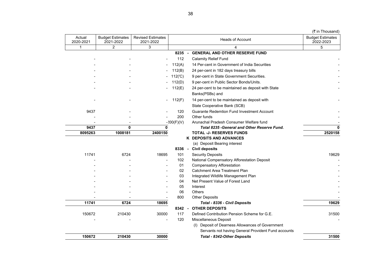|  | (₹ in Thousand) |
|--|-----------------|
|--|-----------------|

| <b>Budget Estimates</b><br>2022-2023 | <b>Heads of Account</b>                             |              | <b>Revised Estimates</b><br>2021-2022 | <b>Budget Estimates</b><br>2021-2022 | Actual<br>2020-2021 |
|--------------------------------------|-----------------------------------------------------|--------------|---------------------------------------|--------------------------------------|---------------------|
| 5                                    | 4                                                   |              | 3                                     | 2                                    | 1                   |
|                                      | <b>GENERAL AND OTHER RESERVE FUND</b>               | $8235 -$     |                                       |                                      |                     |
|                                      | <b>Calamity Relief Fund</b>                         | 112          |                                       |                                      |                     |
|                                      | 14 Per-cent in Government of India Securities       | 112(A)       |                                       |                                      |                     |
|                                      | 24 per-cent in 182 days treasury bills              | 112(B)       |                                       |                                      |                     |
|                                      | 9 per-cent in State Government Securities.          | 112(°C)      |                                       |                                      |                     |
|                                      | 9 per-cent in Public Sector Bonds/Units.            | 112(D)       |                                       |                                      |                     |
|                                      | 24 per-cent to be maintained as deposit with State  | 112(E)       |                                       |                                      |                     |
|                                      | Banks(PSBs) and                                     |              |                                       |                                      |                     |
|                                      | 14 per-cent to be maintained as deposit with        | 112(F)       | $\overline{\phantom{a}}$              |                                      |                     |
|                                      | State Cooperative Bank (SCB)                        |              |                                       |                                      |                     |
|                                      | <b>Guarante Redemtion Fund Investment Account</b>   | 120          |                                       |                                      | 9437                |
|                                      | Other funds                                         | 200          |                                       |                                      |                     |
|                                      | Arunachal Pradesh Consumer Welfare fund             | $-200(F)(V)$ |                                       |                                      |                     |
| 0                                    | Total 8235 - General and Other Reserve Fund.        |              | <sup>0</sup>                          | 0                                    | 9437                |
| 2520158                              | <b>TOTAL -J- RESERVES FUNDS</b>                     |              | 2400150                               | 1008181                              | 8095263             |
|                                      | <b>K DEPOSITS AND ADVANCES</b>                      |              |                                       |                                      |                     |
|                                      | (a) Deposit Bearing interest                        |              |                                       |                                      |                     |
|                                      | <b>Civil deposits</b>                               | 8336 -       |                                       |                                      |                     |
| 19629                                | <b>Security Deposits</b>                            | 101          | 18695                                 | 6724                                 | 11741               |
|                                      | National Compensatory Afforestation Deposit         | 102          |                                       |                                      |                     |
|                                      | <b>Compensatory Afforestation</b>                   | 01           |                                       |                                      |                     |
|                                      | <b>Catchment Area Treatment Plan</b>                | 02           |                                       |                                      |                     |
|                                      | Integrated Wildlife Management Plan                 | 03           |                                       |                                      |                     |
|                                      | Net Present Value of Forest Land<br>Interest        | 04<br>05     |                                       |                                      |                     |
|                                      | <b>Others</b>                                       | 06           |                                       |                                      |                     |
|                                      | <b>Other Deposits</b>                               | 800          |                                       |                                      |                     |
| 19629                                | Total - 8336 - Civil Deposits                       |              | 18695                                 | 6724                                 | 11741               |
|                                      | <b>OTHER DEPOSITS</b>                               | $8342 -$     |                                       |                                      |                     |
| 31500                                | Defined Contribution Pension Scheme for G.E.        | 117          | 30000                                 | 210430                               | 150672              |
|                                      | Miscellaneous Deposit                               | 120          |                                       |                                      |                     |
|                                      | (I) Deposit of Dearness Allowances of Government    |              |                                       |                                      |                     |
|                                      | Servants not having General Provident Fund accounts |              |                                       |                                      |                     |
| 31500                                | <b>Total - 8342-Other Deposits</b>                  |              | 30000                                 | 210430                               | 150672              |
|                                      |                                                     |              |                                       |                                      |                     |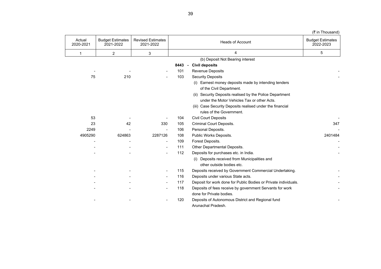| (₹ in Thousand)                      |                                                                 |      |                                       |                                      |                     |
|--------------------------------------|-----------------------------------------------------------------|------|---------------------------------------|--------------------------------------|---------------------|
| <b>Budget Estimates</b><br>2022-2023 | <b>Heads of Account</b>                                         |      | <b>Revised Estimates</b><br>2021-2022 | <b>Budget Estimates</b><br>2021-2022 | Actual<br>2020-2021 |
| 5                                    | 4                                                               |      | 3                                     | 2                                    | 1                   |
|                                      | (b) Deposit Not Bearing interest                                |      |                                       |                                      |                     |
|                                      | <b>Civil deposits</b>                                           | 8443 |                                       |                                      |                     |
|                                      | <b>Revenue Deposits</b>                                         | 101  |                                       |                                      |                     |
|                                      | <b>Security Deposits</b>                                        | 103  |                                       | 210                                  | 75                  |
|                                      | (i) Earnest money deposits made by intending tenders            |      |                                       |                                      |                     |
|                                      | of the Civil Department.                                        |      |                                       |                                      |                     |
|                                      | (ii) Security Deposits realised by the Police Department        |      |                                       |                                      |                     |
|                                      | under the Motor Vehicles Tax or other Acts.                     |      |                                       |                                      |                     |
|                                      | (iii) Case Security Deposits realised under the financial       |      |                                       |                                      |                     |
|                                      | rules of the Government.                                        |      |                                       |                                      |                     |
|                                      | <b>Civil Court Deposits</b>                                     | 104  |                                       |                                      | 53                  |
| 347                                  | <b>Criminal Court Deposits.</b>                                 | 105  | 330                                   | 42                                   | 23                  |
|                                      | Personal Deposits.                                              | 106  |                                       |                                      | 2249                |
| 2401484                              | Public Works Deposits.                                          | 108  | 2287126                               | 624863                               | 4905290             |
|                                      | Forest Deposits.                                                | 109  | $\qquad \qquad -$                     |                                      |                     |
|                                      | Other Departmental Deposits.                                    | 111  | $\blacksquare$                        |                                      |                     |
|                                      | Deposits for purchases etc. in India.                           | 112  |                                       |                                      |                     |
|                                      | (i) Deposits received from Municipalities and                   |      |                                       |                                      |                     |
|                                      | other outside bodies etc.                                       |      |                                       |                                      |                     |
|                                      | Deposits received by Government Commercial Undertaking.         | 115  |                                       |                                      |                     |
|                                      | Deposits under various State acts.                              | 116  |                                       |                                      |                     |
|                                      | Deposit for work done for Public Bodies or Private individuals. | 117  |                                       |                                      |                     |
|                                      | Deposits of fees receive by government Servants for work        | 118  |                                       |                                      |                     |
|                                      | done for Private bodies.                                        |      |                                       |                                      |                     |
|                                      | Deposits of Autonomous District and Regional fund               | 120  |                                       |                                      |                     |
|                                      | Arunachal Pradesh.                                              |      |                                       |                                      |                     |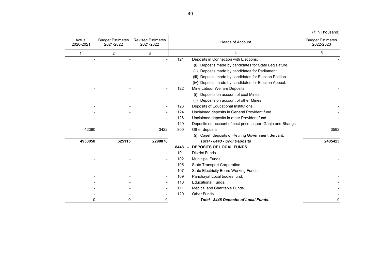| (₹ in Thousand)                      |                                                             |                |                                       |                                      |                     |
|--------------------------------------|-------------------------------------------------------------|----------------|---------------------------------------|--------------------------------------|---------------------|
| <b>Budget Estimates</b><br>2022-2023 | <b>Heads of Account</b>                                     |                | <b>Revised Estimates</b><br>2021-2022 | <b>Budget Estimates</b><br>2021-2022 | Actual<br>2020-2021 |
| 5                                    | 4                                                           |                | 3                                     | $\overline{c}$                       | 1                   |
|                                      | Deposits in Connection with Elections.                      | 121            |                                       |                                      |                     |
|                                      | Deposits made by candidates for State Legislature.<br>(i)   |                |                                       |                                      |                     |
|                                      | Deposits made by candidates for Parliament.<br>(ii)         |                |                                       |                                      |                     |
|                                      | (iii) Deposits made by candidates for Election Petition.    |                |                                       |                                      |                     |
|                                      | (iv) Deposits made by candidates for Election Appeal.       |                |                                       |                                      |                     |
|                                      | Mine Labour Welfare Deposits.                               | 122            |                                       |                                      |                     |
|                                      | Deposits on account of coal Mines.<br>(i)                   |                |                                       |                                      |                     |
|                                      | (ii) Deposits on account of other Mines.                    |                |                                       |                                      |                     |
|                                      | Deposits of Educational Institutions.                       | 123            |                                       |                                      |                     |
|                                      | Unclaimed deposits in General Provident fund.               | 124            |                                       |                                      |                     |
|                                      | Unclaimed deposits in other Provident fund.                 | 126            |                                       |                                      |                     |
|                                      | Deposits on account of cost price Liquor, Ganja and Bhangs. | 129            |                                       |                                      |                     |
| 3592                                 | Other deposits.                                             | 800            | 3422                                  |                                      | 42360               |
|                                      | (i) Caseh deposits of Retiring Government Servant.          |                |                                       |                                      |                     |
| 2405423                              | Total - 8443 - Civil Deposits                               |                | 2290878                               | 625115                               | 4950050             |
|                                      | <b>DEPOSITS OF LOCAL FUNDS.</b>                             | 8448<br>$\sim$ |                                       |                                      |                     |
|                                      | District Funds.                                             | 101            |                                       |                                      |                     |
|                                      | Municipal Funds.                                            | 102            |                                       |                                      |                     |
|                                      | State Transport Corporation.                                | 105            |                                       |                                      |                     |
|                                      | <b>State Electricity Board Working Funds</b>                | 107            |                                       |                                      |                     |
|                                      | Panchayat Local bodies fund.                                | 109            |                                       |                                      |                     |
|                                      | <b>Educational Funds.</b>                                   | 110            |                                       |                                      |                     |
|                                      | Medical and Charitable Funds.                               | 111            |                                       |                                      |                     |
|                                      | Other Funds.                                                | 120            |                                       |                                      |                     |
| $\Omega$                             | Total - 8448 Deposits of Local Funds.                       |                | $\Omega$                              | $\Omega$                             | $\Omega$            |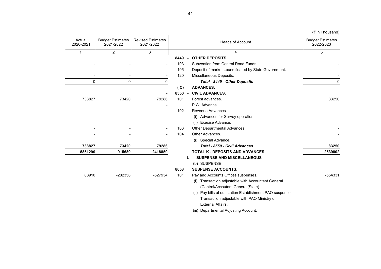$($ ₹ in Thousand)

| <b>Budget Estimates</b><br>2022-2023 | <b>Heads of Account</b>                                  |      | <b>Revised Estimates</b><br>2021-2022 | <b>Budget Estimates</b><br>2021-2022 | Actual<br>2020-2021 |
|--------------------------------------|----------------------------------------------------------|------|---------------------------------------|--------------------------------------|---------------------|
| 5                                    | 4                                                        |      | 3                                     | 2                                    | 1                   |
|                                      | <b>OTHER DEPOSITS.</b>                                   | 8449 |                                       |                                      |                     |
|                                      | Subvention from Central Road Funds.                      | 103  |                                       |                                      |                     |
|                                      | Deposit of market Loans floated by State Government.     | 105  |                                       |                                      |                     |
|                                      | Miscellaneous Deposits.                                  | 120  |                                       |                                      |                     |
| 0                                    | Total - 8449 - Other Deposits                            | 0    |                                       | $\mathbf 0$                          | 0                   |
|                                      | <b>ADVANCES.</b>                                         | (C)  |                                       |                                      |                     |
|                                      | <b>CIVIL ADVANCES.</b><br>$\sim$                         | 8550 |                                       |                                      |                     |
| 83250                                | Forest advances.                                         | 101  | 79286                                 | 73420                                | 738827              |
|                                      | P.W. Advance.                                            |      |                                       |                                      |                     |
|                                      | Revenue Advances                                         | 102  |                                       |                                      |                     |
|                                      | (i) Advances for Survey operation.                       |      |                                       |                                      |                     |
|                                      | (ii) Execise Advance.                                    |      |                                       |                                      |                     |
|                                      | <b>Other Departmental Advances</b>                       | 103  |                                       |                                      |                     |
|                                      | Other Advances.                                          | 104  |                                       |                                      |                     |
|                                      | (i) Special Advance.                                     |      |                                       |                                      |                     |
| 83250                                | Total - 8550 - Civil Advances.                           |      | 79286                                 | 73420                                | 738827              |
| 2539802                              | <b>TOTAL K - DEPOSITS AND ADVANCES.</b>                  |      | 2418859                               | 915689                               | 5851290             |
|                                      | <b>SUSPENSE AND MISCELLANEOUS</b><br>L                   |      |                                       |                                      |                     |
|                                      | (b) SUSPENSE                                             |      |                                       |                                      |                     |
|                                      | <b>SUSPENSE ACCOUNTS.</b>                                | 8658 |                                       |                                      |                     |
| -554331                              | Pay and Accounts Offices suspenses.                      | 101  | -527934                               | -282358                              | 88910               |
|                                      | (i) Transaction adjustable with Accountant General.      |      |                                       |                                      |                     |
|                                      | (Central/Accoutant General(State).                       |      |                                       |                                      |                     |
|                                      | (ii) Pay bills of out station Establishment PAO suspense |      |                                       |                                      |                     |
|                                      | Transaction adjustable with PAO Ministry of              |      |                                       |                                      |                     |
|                                      | <b>External Affairs.</b>                                 |      |                                       |                                      |                     |
|                                      | (iii) Departmental Adjusting Account.                    |      |                                       |                                      |                     |
|                                      |                                                          |      |                                       |                                      |                     |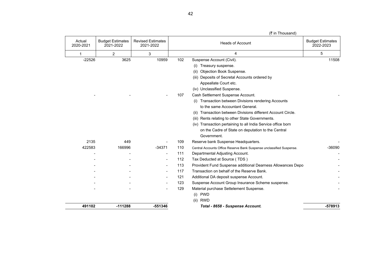|  |  | (₹ in Thousand) |  |
|--|--|-----------------|--|
|  |  |                 |  |

|                     |                                      |                                       |     | (₹ in Thousand)                                                      |                                      |
|---------------------|--------------------------------------|---------------------------------------|-----|----------------------------------------------------------------------|--------------------------------------|
| Actual<br>2020-2021 | <b>Budget Estimates</b><br>2021-2022 | <b>Revised Estimates</b><br>2021-2022 |     | <b>Heads of Account</b>                                              | <b>Budget Estimates</b><br>2022-2023 |
| 1                   | $\overline{2}$                       | 3                                     |     | 4                                                                    | 5                                    |
| $-22526$            | 3625                                 | 10959                                 | 102 | Suspense Account (Civil).                                            | 11508                                |
|                     |                                      |                                       |     | Treasury suspense.<br>(i)                                            |                                      |
|                     |                                      |                                       |     | Objection Book Suspense.<br>(ii)                                     |                                      |
|                     |                                      |                                       |     | (iii) Deposits of Secretal Accounts ordered by                       |                                      |
|                     |                                      |                                       |     | Appeallate Court etc.                                                |                                      |
|                     |                                      |                                       |     | (iv) Unclassified Suspense.                                          |                                      |
|                     |                                      |                                       | 107 | Cash Settlement Suspense Account.                                    |                                      |
|                     |                                      |                                       |     | Transaction between Divisions rendering Accounts<br>(1)              |                                      |
|                     |                                      |                                       |     | to the same Accountant General.                                      |                                      |
|                     |                                      |                                       |     | Transaction between Divisions different Account Circle.<br>(ii)      |                                      |
|                     |                                      |                                       |     | (iii) Rents relating to other State Governments.                     |                                      |
|                     |                                      |                                       |     | (iv) Transaction pertaining to all India Service office born         |                                      |
|                     |                                      |                                       |     | on the Cadre of State on deputation to the Central                   |                                      |
|                     |                                      |                                       |     | Government.                                                          |                                      |
| 2135                | 449                                  |                                       | 109 | Reserve bank Suspense Headquarters.                                  |                                      |
| 422583              | 166996                               | $-34371$                              | 110 | Central Accounts Office Reserve Bank Suspense unclassified Suspense. | $-36090$                             |
|                     |                                      | $\overline{\phantom{a}}$              | 111 | Departmental Adjusting Account.                                      |                                      |
|                     |                                      |                                       | 112 | Tax Deducted at Source (TDS)                                         |                                      |
|                     |                                      |                                       | 113 | Provident Fund Suspense additional Dearness Allowances Depo          |                                      |
|                     |                                      |                                       | 117 | Transaction on behalf of the Reserve Bank.                           |                                      |
|                     |                                      |                                       | 121 | Additional DA deposit suspense Account.                              |                                      |
|                     |                                      |                                       | 123 | Suspense Account Group Insurance Scheme suspense.                    |                                      |
|                     |                                      |                                       | 129 | Material purchase Settelement Suspense.                              |                                      |
|                     |                                      |                                       |     | (i) PWD                                                              |                                      |
|                     |                                      |                                       |     | (ii) RWD                                                             |                                      |
| 491102              | $-111288$                            | -551346                               |     | Total - 8658 - Suspense Account.                                     | $-578913$                            |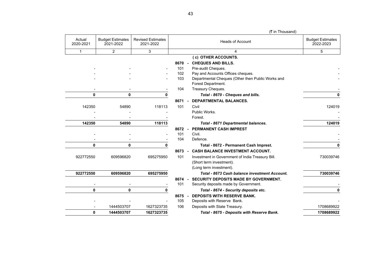|                     |                                      |                                       |             | $(1)$ $\cdots$ $\cdots$ $\cdots$ $\cdots$ $\cdots$                                    |                                      |
|---------------------|--------------------------------------|---------------------------------------|-------------|---------------------------------------------------------------------------------------|--------------------------------------|
| Actual<br>2020-2021 | <b>Budget Estimates</b><br>2021-2022 | <b>Revised Estimates</b><br>2021-2022 |             | <b>Heads of Account</b>                                                               | <b>Budget Estimates</b><br>2022-2023 |
| 1                   | $\overline{2}$                       | 3                                     |             |                                                                                       | 5                                    |
|                     |                                      |                                       |             | (c) OTHER ACCOUNTS.                                                                   |                                      |
|                     |                                      |                                       | 8670        | <b>CHEQUES AND BILLS.</b><br>$\sim$                                                   |                                      |
|                     |                                      |                                       | 101         | Pre-audit Cheques.                                                                    |                                      |
|                     |                                      |                                       | 102         | Pay and Accounts Offices cheques.                                                     |                                      |
|                     |                                      |                                       | 103         | Departmental Cheques (Other then Public Works and<br>Forest Department.               |                                      |
|                     |                                      |                                       | 104         | Treasury Cheques.                                                                     |                                      |
| 0                   | 0                                    | 0                                     |             | Total - 8670 - Cheques and bills.                                                     | 0                                    |
|                     |                                      |                                       | 8671        | <b>DEPARTMENTAL BALANCES.</b>                                                         |                                      |
| 142350              | 54890                                | 118113                                | 101         | Civil                                                                                 | 124019                               |
|                     |                                      |                                       |             | Public Works.                                                                         |                                      |
|                     |                                      |                                       |             | Forest.                                                                               |                                      |
| 142350              | 54890                                | 118113                                |             | Total - 8671 Departmental balances.                                                   | 124019                               |
|                     |                                      |                                       | 8672        | <b>PERMANENT CASH IMPREST</b><br>$\sim$                                               |                                      |
|                     |                                      |                                       | 101         | Civil.                                                                                |                                      |
|                     |                                      |                                       | 104         | Defence.                                                                              |                                      |
| 0                   | 0                                    | 0                                     |             | Total - 8672 - Permanent Cash Imprest.                                                | ŋ                                    |
|                     |                                      |                                       | 8673        | <b>CASH BALANCE INVESTMENT ACCOUNT.</b>                                               |                                      |
| 922772550           | 609596820                            | 695275950                             | 101         | Investment in Government of India Treasury Bill.<br>(Short term investment).          | 730039746                            |
|                     |                                      |                                       |             | (Long term investment).                                                               |                                      |
| 922772550           | 609596820                            | 695275950                             |             | Total - 8673 Cash balance investment Account.                                         | 730039746                            |
|                     |                                      |                                       | 8674<br>101 | <b>SECURITY DEPOSITS MADE BY GOVERNMENT.</b><br>Security deposits made by Government. |                                      |
| 0                   | 0                                    | 0                                     |             | Total - 8674 - Security deposits etc.                                                 | 0                                    |
|                     |                                      |                                       | 8675        | <b>DEPOSITS WITH RESERVE BANK.</b>                                                    |                                      |
|                     |                                      |                                       | 105         | Deposits with Reserve Bank.                                                           |                                      |
|                     | 1444503707                           | 1627323735                            | 106         | Deposits with State Treasury.                                                         | 1708689922                           |
| 0                   | 1444503707                           | 1627323735                            |             | Total - 8675 - Deposits with Reserve Bank.                                            | 1708689922                           |
|                     |                                      |                                       |             |                                                                                       |                                      |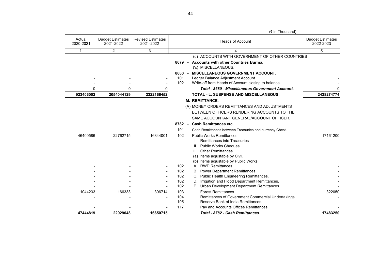|                     |                                      |                                       |            |      | (A III THUUJUHU                                                                              |                                      |
|---------------------|--------------------------------------|---------------------------------------|------------|------|----------------------------------------------------------------------------------------------|--------------------------------------|
| Actual<br>2020-2021 | <b>Budget Estimates</b><br>2021-2022 | <b>Revised Estimates</b><br>2021-2022 |            |      | <b>Heads of Account</b>                                                                      | <b>Budget Estimates</b><br>2022-2023 |
| $\mathbf{1}$        | 2                                    | 3                                     |            |      | 4                                                                                            | 5                                    |
|                     |                                      |                                       |            |      | (d) ACCOUNTS WITH GOVERNMENT OF OTHER COUNTRIES                                              |                                      |
|                     |                                      |                                       | 8679 -     |      | <b>Accounts with other Countries Burma.</b><br>('c) MISCELLANEOUS.                           |                                      |
|                     |                                      |                                       | 8680       |      | <b>MISCELLANEOUS GOVERNMENT ACCOUNT.</b>                                                     |                                      |
|                     |                                      |                                       | 101<br>102 |      | Ledger Balance Adjustment Account.<br>Write-off from Heads of Account closing to balance.    |                                      |
| 0                   | 0                                    | 0                                     |            |      | Total - 8680 - Miscellaneous Government Account.                                             |                                      |
| 923406002           | 2054044129                           | 2322166452                            |            |      | <b>TOTAL - L. SUSPENSE AND MISCELLANEOUS.</b>                                                | 2438274774                           |
|                     |                                      |                                       |            |      | <b>M. REMITTANCE.</b>                                                                        |                                      |
|                     |                                      |                                       |            |      | (A) MONEY ORDERS REMITTANCES AND ADJUSTMENTS                                                 |                                      |
|                     |                                      |                                       |            |      | BETWEEN OFFICERS RENDERING ACCOUNTS TO THE                                                   |                                      |
|                     |                                      |                                       |            |      | SAME ACCOUNTANT GENERAL/ACCOUNT OFFICER.                                                     |                                      |
|                     |                                      |                                       |            |      | 8782 - Cash Remittances etc.                                                                 |                                      |
|                     |                                      |                                       | 101        |      | Cash Remittances between Treasuries and currency Chest.                                      |                                      |
| 46400586            | 22762715                             | 16344001                              | 102        |      | Public Works Remittances.                                                                    | 17161200                             |
|                     |                                      |                                       |            |      | <b>Remittances into Treasuries</b>                                                           |                                      |
|                     |                                      |                                       |            | II.  | Public Works Cheques.                                                                        |                                      |
|                     |                                      |                                       |            | III. | Other Remittances.                                                                           |                                      |
|                     |                                      |                                       |            | (a)  | Items adjustable by Civil.                                                                   |                                      |
|                     |                                      |                                       |            | (b)  | Items adjustable by Public Works.                                                            |                                      |
|                     |                                      |                                       | 102        | A.   | <b>RWD Remittances.</b>                                                                      |                                      |
|                     |                                      |                                       | 102        |      | Power Department Remittances.                                                                |                                      |
|                     |                                      |                                       | 102        |      | C. Public Health Engineering Remittances.                                                    |                                      |
|                     |                                      |                                       | 102<br>102 |      | Irrigation and Flood Department Remittances.<br>E. Urban Development Department Remittances. |                                      |
| 1044233             | 166333                               | 306714                                | 103        |      | <b>Forest Remittances.</b>                                                                   | 322050                               |
|                     |                                      |                                       | 104        |      | Remittances of Government Commercial Undertakings.                                           |                                      |
|                     |                                      |                                       | 105        |      | Reserve Bank of India Remittances.                                                           |                                      |
|                     |                                      |                                       | 117        |      | Pay and Accounts Offices Remittances.                                                        |                                      |
| 47444819            | 22929048                             | 16650715                              |            |      | Total - 8782 - Cash Remittances.                                                             | 17483250                             |